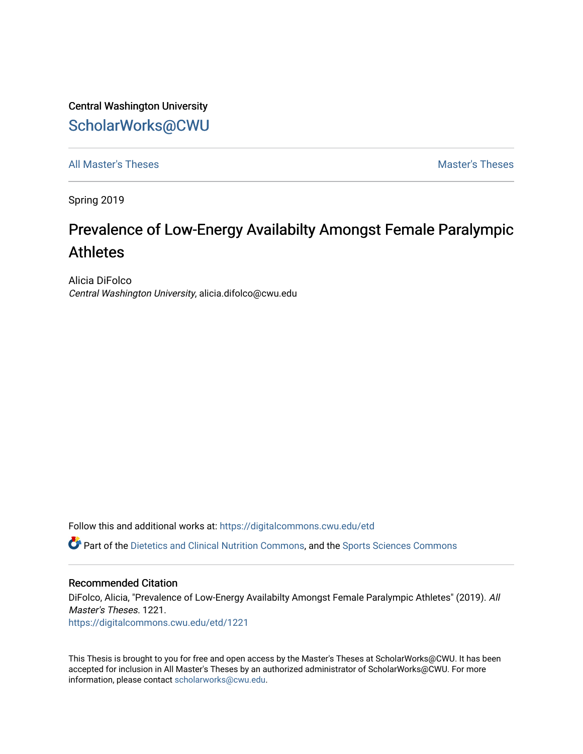Central Washington University [ScholarWorks@CWU](https://digitalcommons.cwu.edu/) 

[All Master's Theses](https://digitalcommons.cwu.edu/etd) **Master's Theses** Master's Theses

Spring 2019

# Prevalence of Low-Energy Availabilty Amongst Female Paralympic **Athletes**

Alicia DiFolco Central Washington University, alicia.difolco@cwu.edu

Follow this and additional works at: [https://digitalcommons.cwu.edu/etd](https://digitalcommons.cwu.edu/etd?utm_source=digitalcommons.cwu.edu%2Fetd%2F1221&utm_medium=PDF&utm_campaign=PDFCoverPages) 

Part of the [Dietetics and Clinical Nutrition Commons,](http://network.bepress.com/hgg/discipline/662?utm_source=digitalcommons.cwu.edu%2Fetd%2F1221&utm_medium=PDF&utm_campaign=PDFCoverPages) and the [Sports Sciences Commons](http://network.bepress.com/hgg/discipline/759?utm_source=digitalcommons.cwu.edu%2Fetd%2F1221&utm_medium=PDF&utm_campaign=PDFCoverPages)

#### Recommended Citation

DiFolco, Alicia, "Prevalence of Low-Energy Availabilty Amongst Female Paralympic Athletes" (2019). All Master's Theses. 1221. [https://digitalcommons.cwu.edu/etd/1221](https://digitalcommons.cwu.edu/etd/1221?utm_source=digitalcommons.cwu.edu%2Fetd%2F1221&utm_medium=PDF&utm_campaign=PDFCoverPages)

This Thesis is brought to you for free and open access by the Master's Theses at ScholarWorks@CWU. It has been accepted for inclusion in All Master's Theses by an authorized administrator of ScholarWorks@CWU. For more information, please contact [scholarworks@cwu.edu.](mailto:scholarworks@cwu.edu)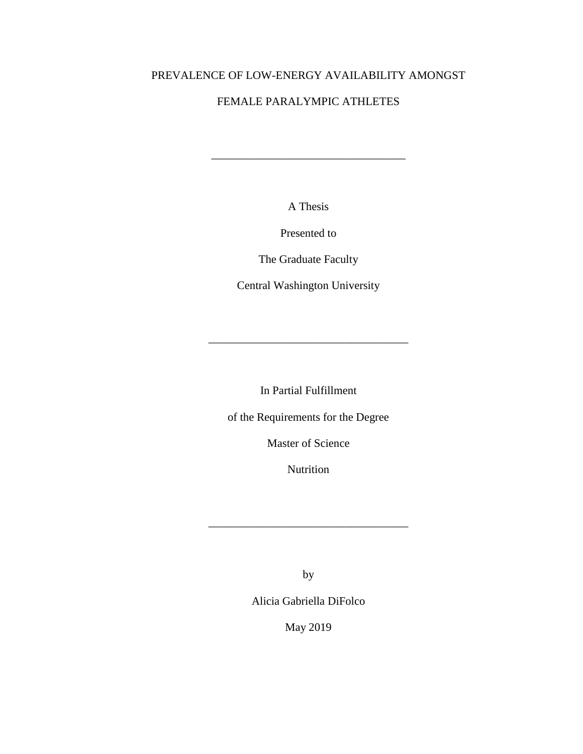## PREVALENCE OF LOW-ENERGY AVAILABILITY AMONGST

## FEMALE PARALYMPIC ATHLETES

A Thesis

\_\_\_\_\_\_\_\_\_\_\_\_\_\_\_\_\_\_\_\_\_\_\_\_\_\_\_\_\_\_\_\_\_\_

Presented to

The Graduate Faculty

Central Washington University

\_\_\_\_\_\_\_\_\_\_\_\_\_\_\_\_\_\_\_\_\_\_\_\_\_\_\_\_\_\_\_\_\_\_\_

In Partial Fulfillment

of the Requirements for the Degree

Master of Science

Nutrition

by

\_\_\_\_\_\_\_\_\_\_\_\_\_\_\_\_\_\_\_\_\_\_\_\_\_\_\_\_\_\_\_\_\_\_\_

Alicia Gabriella DiFolco

May 2019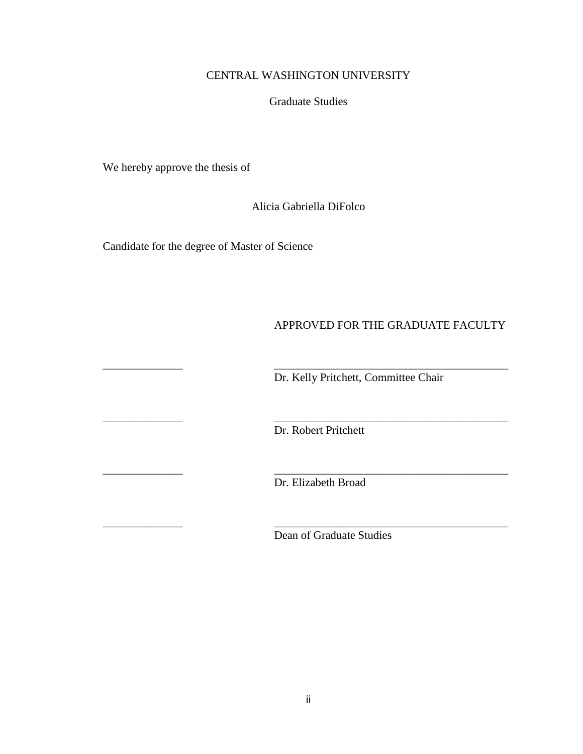### CENTRAL WASHINGTON UNIVERSITY

#### Graduate Studies

We hereby approve the thesis of

Alicia Gabriella DiFolco

Candidate for the degree of Master of Science

## APPROVED FOR THE GRADUATE FACULTY

Dr. Kelly Pritchett, Committee Chair

Dr. Robert Pritchett

\_\_\_\_\_\_\_\_\_\_\_\_\_\_ \_\_\_\_\_\_\_\_\_\_\_\_\_\_\_\_\_\_\_\_\_\_\_\_\_\_\_\_\_\_\_\_\_\_\_\_\_\_\_\_\_

\_\_\_\_\_\_\_\_\_\_\_\_\_\_ \_\_\_\_\_\_\_\_\_\_\_\_\_\_\_\_\_\_\_\_\_\_\_\_\_\_\_\_\_\_\_\_\_\_\_\_\_\_\_\_\_

\_\_\_\_\_\_\_\_\_\_\_\_\_\_ \_\_\_\_\_\_\_\_\_\_\_\_\_\_\_\_\_\_\_\_\_\_\_\_\_\_\_\_\_\_\_\_\_\_\_\_\_\_\_\_\_

\_\_\_\_\_\_\_\_\_\_\_\_\_\_ \_\_\_\_\_\_\_\_\_\_\_\_\_\_\_\_\_\_\_\_\_\_\_\_\_\_\_\_\_\_\_\_\_\_\_\_\_\_\_\_\_

Dr. Elizabeth Broad

Dean of Graduate Studies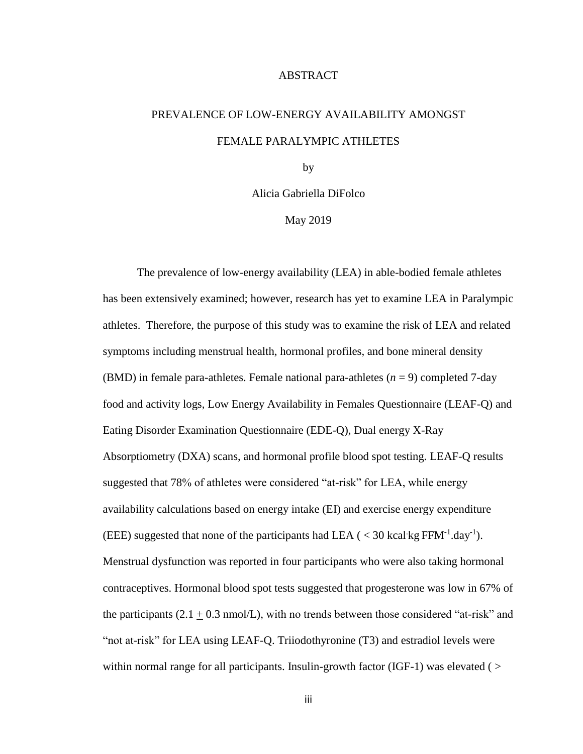#### ABSTRACT

# PREVALENCE OF LOW-ENERGY AVAILABILITY AMONGST FEMALE PARALYMPIC ATHLETES

by

Alicia Gabriella DiFolco

May 2019

The prevalence of low-energy availability (LEA) in able-bodied female athletes has been extensively examined; however, research has yet to examine LEA in Paralympic athletes. Therefore, the purpose of this study was to examine the risk of LEA and related symptoms including menstrual health, hormonal profiles, and bone mineral density (BMD) in female para-athletes. Female national para-athletes (*n* = 9) completed 7-day food and activity logs, Low Energy Availability in Females Questionnaire (LEAF-Q) and Eating Disorder Examination Questionnaire (EDE-Q), Dual energy X-Ray Absorptiometry (DXA) scans, and hormonal profile blood spot testing. LEAF-Q results suggested that 78% of athletes were considered "at-risk" for LEA, while energy availability calculations based on energy intake (EI) and exercise energy expenditure (EEE) suggested that none of the participants had LEA ( $\langle 30 \text{ kcal/kg FFM}^{-1} \text{.day}^{-1}$ ). Menstrual dysfunction was reported in four participants who were also taking hormonal contraceptives. Hormonal blood spot tests suggested that progesterone was low in 67% of the participants  $(2.1 + 0.3 \text{ nmol/L})$ , with no trends between those considered "at-risk" and "not at-risk" for LEA using LEAF-Q. Triiodothyronine (T3) and estradiol levels were within normal range for all participants. Insulin-growth factor (IGF-1) was elevated ( $>$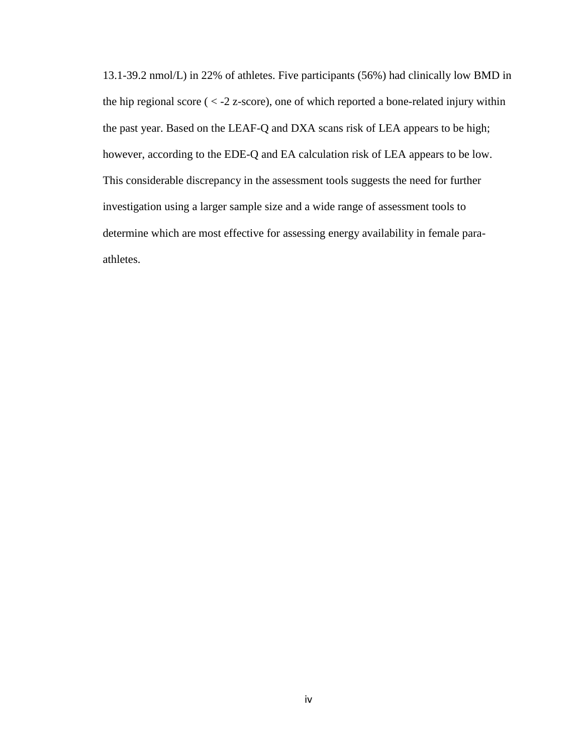13.1-39.2 nmol/L) in 22% of athletes. Five participants (56%) had clinically low BMD in the hip regional score  $(< -2 z$ -score), one of which reported a bone-related injury within the past year. Based on the LEAF-Q and DXA scans risk of LEA appears to be high; however, according to the EDE-Q and EA calculation risk of LEA appears to be low. This considerable discrepancy in the assessment tools suggests the need for further investigation using a larger sample size and a wide range of assessment tools to determine which are most effective for assessing energy availability in female paraathletes.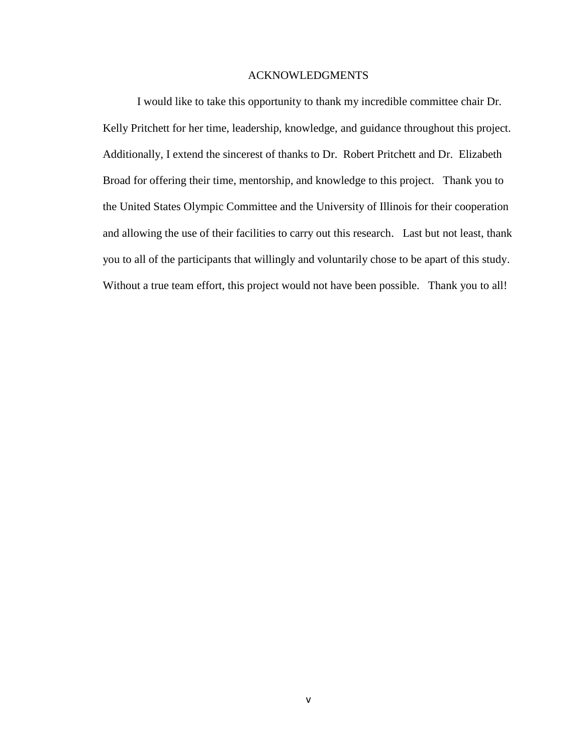#### ACKNOWLEDGMENTS

I would like to take this opportunity to thank my incredible committee chair Dr. Kelly Pritchett for her time, leadership, knowledge, and guidance throughout this project. Additionally, I extend the sincerest of thanks to Dr. Robert Pritchett and Dr. Elizabeth Broad for offering their time, mentorship, and knowledge to this project. Thank you to the United States Olympic Committee and the University of Illinois for their cooperation and allowing the use of their facilities to carry out this research. Last but not least, thank you to all of the participants that willingly and voluntarily chose to be apart of this study. Without a true team effort, this project would not have been possible. Thank you to all!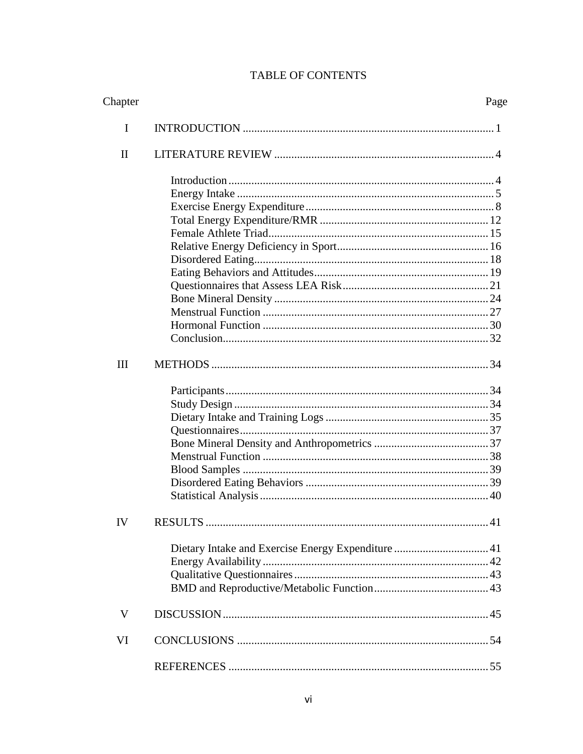# TABLE OF CONTENTS

| Chapter      | Page |
|--------------|------|
| I            |      |
| $\mathbf{I}$ |      |
|              |      |
|              |      |
|              |      |
|              |      |
|              |      |
|              |      |
|              |      |
|              |      |
|              |      |
|              |      |
|              |      |
|              |      |
|              |      |
| Ш            |      |
|              |      |
|              |      |
|              |      |
|              |      |
|              |      |
|              |      |
|              |      |
|              |      |
|              |      |
| IV           | 41   |
|              |      |
|              |      |
|              |      |
|              |      |
| V            |      |
| VI           |      |
|              |      |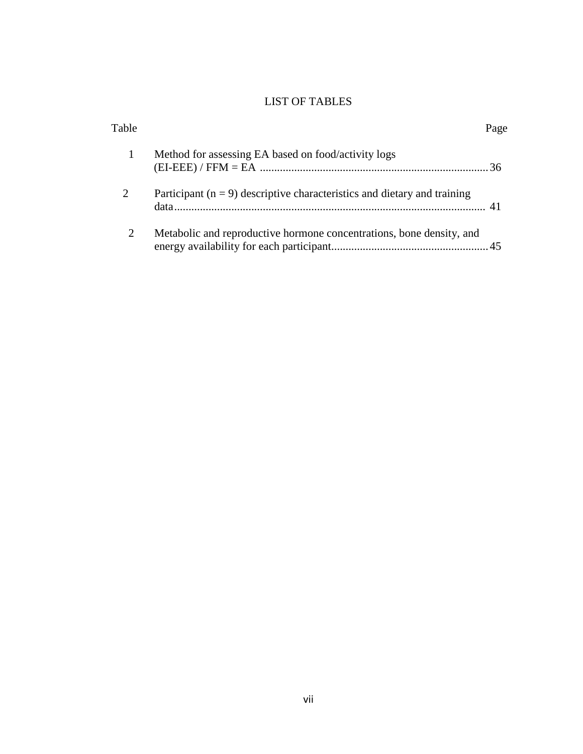# LIST OF TABLES

| Table          |                                                                              | Page |
|----------------|------------------------------------------------------------------------------|------|
|                | Method for assessing EA based on food/activity logs                          |      |
| 2              | Participant ( $n = 9$ ) descriptive characteristics and dietary and training |      |
| $\overline{2}$ | Metabolic and reproductive hormone concentrations, bone density, and         |      |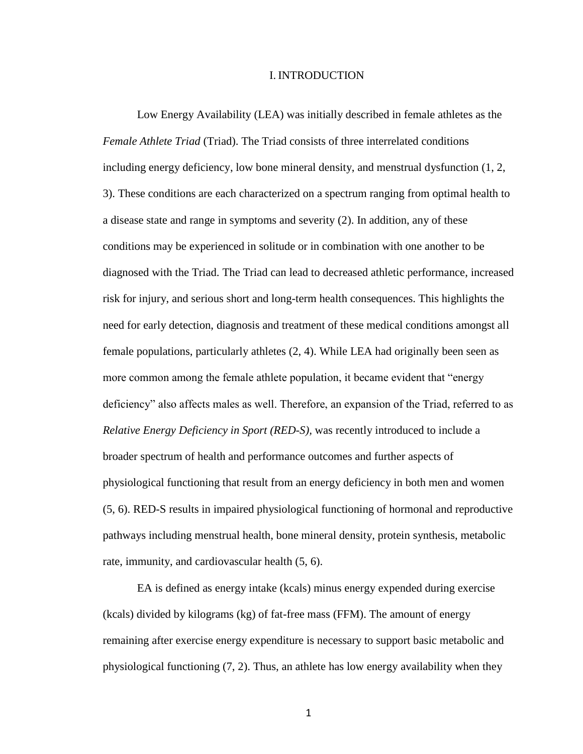#### I. INTRODUCTION

Low Energy Availability (LEA) was initially described in female athletes as the *Female Athlete Triad* (Triad). The Triad consists of three interrelated conditions including energy deficiency, low bone mineral density, and menstrual dysfunction (1, 2, 3). These conditions are each characterized on a spectrum ranging from optimal health to a disease state and range in symptoms and severity (2). In addition, any of these conditions may be experienced in solitude or in combination with one another to be diagnosed with the Triad. The Triad can lead to decreased athletic performance, increased risk for injury, and serious short and long-term health consequences. This highlights the need for early detection, diagnosis and treatment of these medical conditions amongst all female populations, particularly athletes (2, 4). While LEA had originally been seen as more common among the female athlete population, it became evident that "energy deficiency" also affects males as well. Therefore, an expansion of the Triad, referred to as *Relative Energy Deficiency in Sport (RED-S),* was recently introduced to include a broader spectrum of health and performance outcomes and further aspects of physiological functioning that result from an energy deficiency in both men and women (5, 6). RED-S results in impaired physiological functioning of hormonal and reproductive pathways including menstrual health, bone mineral density, protein synthesis, metabolic rate, immunity, and cardiovascular health (5, 6).

EA is defined as energy intake (kcals) minus energy expended during exercise (kcals) divided by kilograms (kg) of fat-free mass (FFM). The amount of energy remaining after exercise energy expenditure is necessary to support basic metabolic and physiological functioning (7, 2). Thus, an athlete has low energy availability when they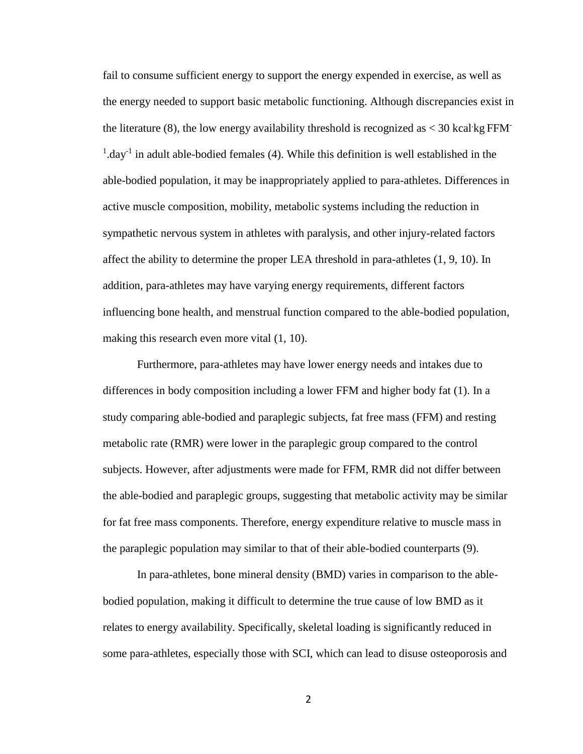fail to consume sufficient energy to support the energy expended in exercise, as well as the energy needed to support basic metabolic functioning. Although discrepancies exist in the literature  $(8)$ , the low energy availability threshold is recognized as  $<$  30 kcal kg FFM<sup>-</sup>  $1$ .day<sup>-1</sup> in adult able-bodied females (4). While this definition is well established in the able-bodied population, it may be inappropriately applied to para-athletes. Differences in active muscle composition, mobility, metabolic systems including the reduction in sympathetic nervous system in athletes with paralysis, and other injury-related factors affect the ability to determine the proper LEA threshold in para-athletes (1, 9, 10). In addition, para-athletes may have varying energy requirements, different factors influencing bone health, and menstrual function compared to the able-bodied population, making this research even more vital (1, 10).

Furthermore, para-athletes may have lower energy needs and intakes due to differences in body composition including a lower FFM and higher body fat (1). In a study comparing able-bodied and paraplegic subjects, fat free mass (FFM) and resting metabolic rate (RMR) were lower in the paraplegic group compared to the control subjects. However, after adjustments were made for FFM, RMR did not differ between the able-bodied and paraplegic groups, suggesting that metabolic activity may be similar for fat free mass components. Therefore, energy expenditure relative to muscle mass in the paraplegic population may similar to that of their able-bodied counterparts (9).

In para-athletes, bone mineral density (BMD) varies in comparison to the ablebodied population, making it difficult to determine the true cause of low BMD as it relates to energy availability. Specifically, skeletal loading is significantly reduced in some para-athletes, especially those with SCI, which can lead to disuse osteoporosis and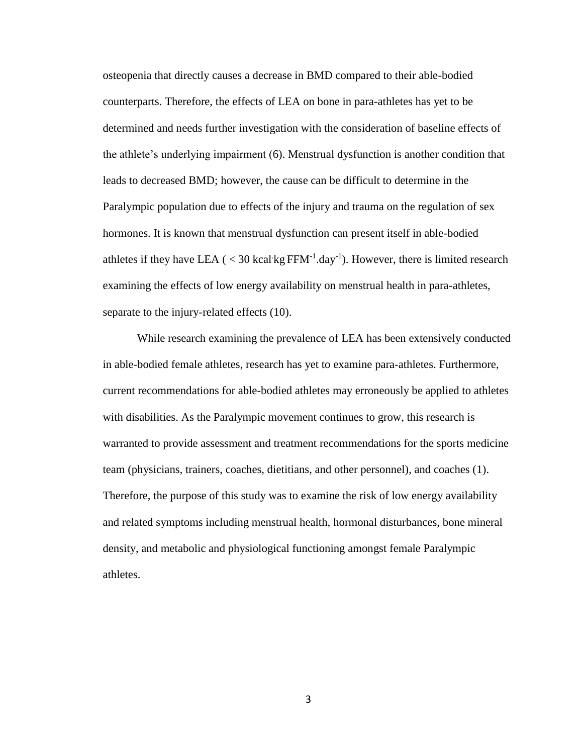osteopenia that directly causes a decrease in BMD compared to their able-bodied counterparts. Therefore, the effects of LEA on bone in para-athletes has yet to be determined and needs further investigation with the consideration of baseline effects of the athlete's underlying impairment (6). Menstrual dysfunction is another condition that leads to decreased BMD; however, the cause can be difficult to determine in the Paralympic population due to effects of the injury and trauma on the regulation of sex hormones. It is known that menstrual dysfunction can present itself in able-bodied athletes if they have LEA ( $<$  30 kcal kg FFM<sup>-1</sup>.day<sup>-1</sup>). However, there is limited research examining the effects of low energy availability on menstrual health in para-athletes, separate to the injury-related effects (10).

While research examining the prevalence of LEA has been extensively conducted in able-bodied female athletes, research has yet to examine para-athletes. Furthermore, current recommendations for able-bodied athletes may erroneously be applied to athletes with disabilities. As the Paralympic movement continues to grow, this research is warranted to provide assessment and treatment recommendations for the sports medicine team (physicians, trainers, coaches, dietitians, and other personnel), and coaches (1). Therefore, the purpose of this study was to examine the risk of low energy availability and related symptoms including menstrual health, hormonal disturbances, bone mineral density, and metabolic and physiological functioning amongst female Paralympic athletes.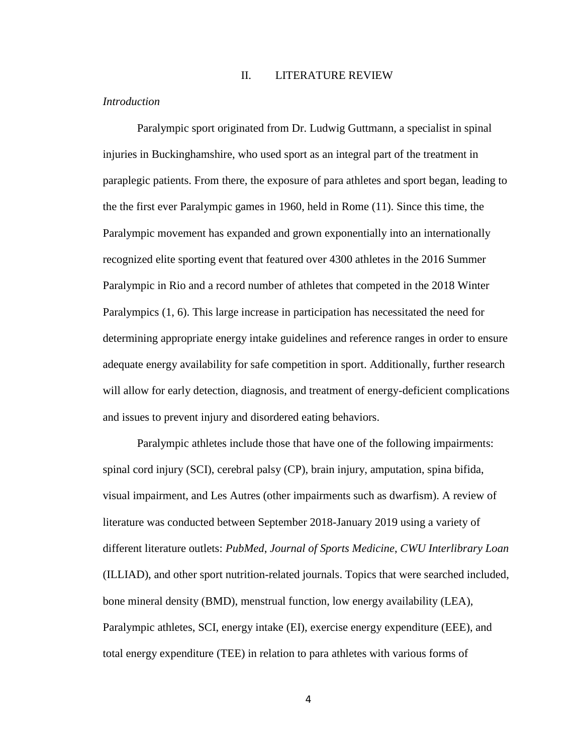#### II. LITERATURE REVIEW

#### *Introduction*

Paralympic sport originated from Dr. Ludwig Guttmann, a specialist in spinal injuries in Buckinghamshire, who used sport as an integral part of the treatment in paraplegic patients. From there, the exposure of para athletes and sport began, leading to the the first ever Paralympic games in 1960, held in Rome (11). Since this time, the Paralympic movement has expanded and grown exponentially into an internationally recognized elite sporting event that featured over 4300 athletes in the 2016 Summer Paralympic in Rio and a record number of athletes that competed in the 2018 Winter Paralympics (1, 6). This large increase in participation has necessitated the need for determining appropriate energy intake guidelines and reference ranges in order to ensure adequate energy availability for safe competition in sport. Additionally, further research will allow for early detection, diagnosis, and treatment of energy-deficient complications and issues to prevent injury and disordered eating behaviors.

Paralympic athletes include those that have one of the following impairments: spinal cord injury (SCI), cerebral palsy (CP), brain injury, amputation, spina bifida, visual impairment, and Les Autres (other impairments such as dwarfism). A review of literature was conducted between September 2018-January 2019 using a variety of different literature outlets: *PubMed*, *Journal of Sports Medicine*, *CWU Interlibrary Loan* (ILLIAD), and other sport nutrition-related journals. Topics that were searched included, bone mineral density (BMD), menstrual function, low energy availability (LEA), Paralympic athletes, SCI, energy intake (EI), exercise energy expenditure (EEE), and total energy expenditure (TEE) in relation to para athletes with various forms of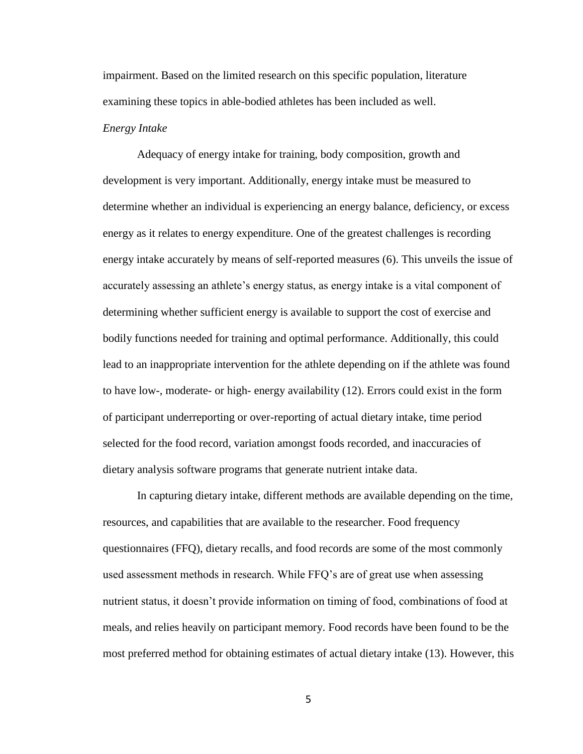impairment. Based on the limited research on this specific population, literature examining these topics in able-bodied athletes has been included as well.

#### *Energy Intake*

Adequacy of energy intake for training, body composition, growth and development is very important. Additionally, energy intake must be measured to determine whether an individual is experiencing an energy balance, deficiency, or excess energy as it relates to energy expenditure. One of the greatest challenges is recording energy intake accurately by means of self-reported measures (6). This unveils the issue of accurately assessing an athlete's energy status, as energy intake is a vital component of determining whether sufficient energy is available to support the cost of exercise and bodily functions needed for training and optimal performance. Additionally, this could lead to an inappropriate intervention for the athlete depending on if the athlete was found to have low-, moderate- or high- energy availability (12). Errors could exist in the form of participant underreporting or over-reporting of actual dietary intake, time period selected for the food record, variation amongst foods recorded, and inaccuracies of dietary analysis software programs that generate nutrient intake data.

In capturing dietary intake, different methods are available depending on the time, resources, and capabilities that are available to the researcher. Food frequency questionnaires (FFQ), dietary recalls, and food records are some of the most commonly used assessment methods in research. While FFQ's are of great use when assessing nutrient status, it doesn't provide information on timing of food, combinations of food at meals, and relies heavily on participant memory. Food records have been found to be the most preferred method for obtaining estimates of actual dietary intake (13). However, this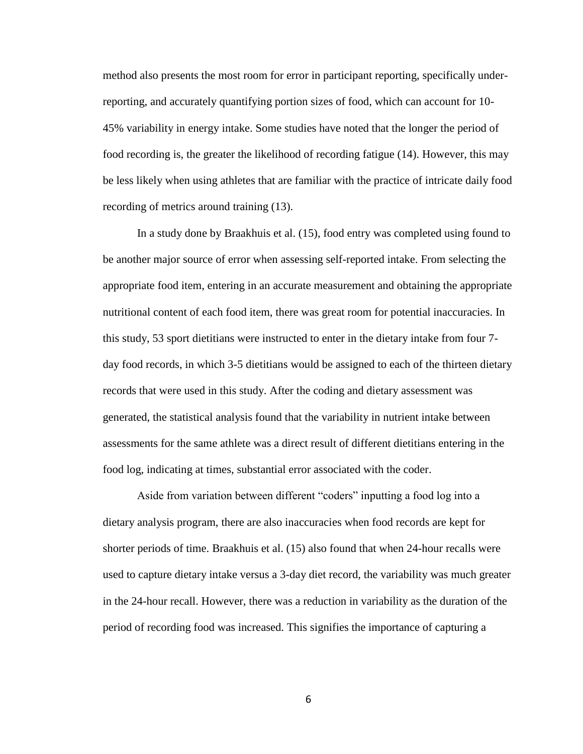method also presents the most room for error in participant reporting, specifically underreporting, and accurately quantifying portion sizes of food, which can account for 10- 45% variability in energy intake. Some studies have noted that the longer the period of food recording is, the greater the likelihood of recording fatigue (14). However, this may be less likely when using athletes that are familiar with the practice of intricate daily food recording of metrics around training (13).

In a study done by Braakhuis et al. (15), food entry was completed using found to be another major source of error when assessing self-reported intake. From selecting the appropriate food item, entering in an accurate measurement and obtaining the appropriate nutritional content of each food item, there was great room for potential inaccuracies. In this study, 53 sport dietitians were instructed to enter in the dietary intake from four 7 day food records, in which 3-5 dietitians would be assigned to each of the thirteen dietary records that were used in this study. After the coding and dietary assessment was generated, the statistical analysis found that the variability in nutrient intake between assessments for the same athlete was a direct result of different dietitians entering in the food log, indicating at times, substantial error associated with the coder.

Aside from variation between different "coders" inputting a food log into a dietary analysis program, there are also inaccuracies when food records are kept for shorter periods of time. Braakhuis et al. (15) also found that when 24-hour recalls were used to capture dietary intake versus a 3-day diet record, the variability was much greater in the 24-hour recall. However, there was a reduction in variability as the duration of the period of recording food was increased. This signifies the importance of capturing a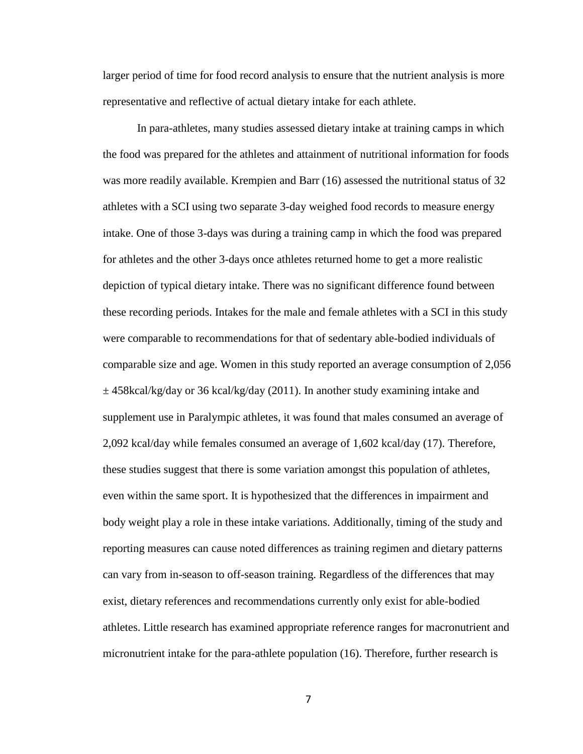larger period of time for food record analysis to ensure that the nutrient analysis is more representative and reflective of actual dietary intake for each athlete.

In para-athletes, many studies assessed dietary intake at training camps in which the food was prepared for the athletes and attainment of nutritional information for foods was more readily available. Krempien and Barr (16) assessed the nutritional status of 32 athletes with a SCI using two separate 3-day weighed food records to measure energy intake. One of those 3-days was during a training camp in which the food was prepared for athletes and the other 3-days once athletes returned home to get a more realistic depiction of typical dietary intake. There was no significant difference found between these recording periods. Intakes for the male and female athletes with a SCI in this study were comparable to recommendations for that of sedentary able-bodied individuals of comparable size and age. Women in this study reported an average consumption of 2,056  $\pm$  458kcal/kg/day or 36 kcal/kg/day (2011). In another study examining intake and supplement use in Paralympic athletes, it was found that males consumed an average of 2,092 kcal/day while females consumed an average of 1,602 kcal/day (17). Therefore, these studies suggest that there is some variation amongst this population of athletes, even within the same sport. It is hypothesized that the differences in impairment and body weight play a role in these intake variations. Additionally, timing of the study and reporting measures can cause noted differences as training regimen and dietary patterns can vary from in-season to off-season training. Regardless of the differences that may exist, dietary references and recommendations currently only exist for able-bodied athletes. Little research has examined appropriate reference ranges for macronutrient and micronutrient intake for the para-athlete population (16). Therefore, further research is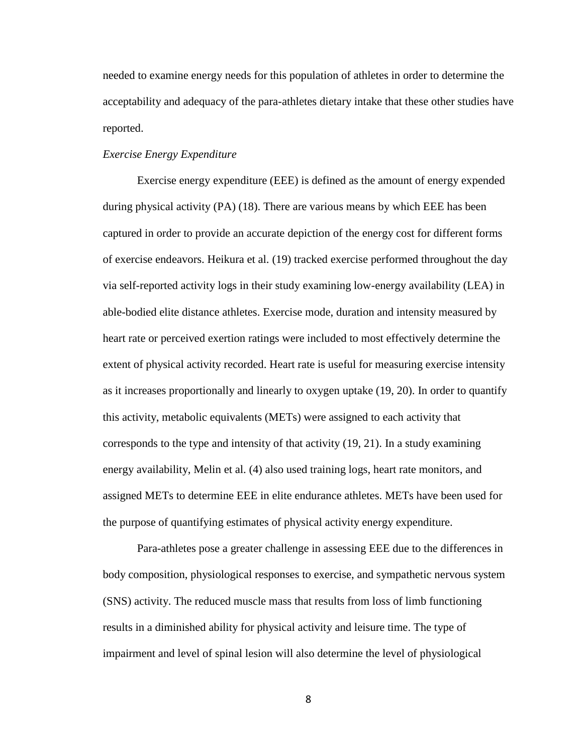needed to examine energy needs for this population of athletes in order to determine the acceptability and adequacy of the para-athletes dietary intake that these other studies have reported.

#### *Exercise Energy Expenditure*

Exercise energy expenditure (EEE) is defined as the amount of energy expended during physical activity (PA) (18). There are various means by which EEE has been captured in order to provide an accurate depiction of the energy cost for different forms of exercise endeavors. Heikura et al. (19) tracked exercise performed throughout the day via self-reported activity logs in their study examining low-energy availability (LEA) in able-bodied elite distance athletes. Exercise mode, duration and intensity measured by heart rate or perceived exertion ratings were included to most effectively determine the extent of physical activity recorded. Heart rate is useful for measuring exercise intensity as it increases proportionally and linearly to oxygen uptake (19, 20). In order to quantify this activity, metabolic equivalents (METs) were assigned to each activity that corresponds to the type and intensity of that activity (19, 21). In a study examining energy availability, Melin et al. (4) also used training logs, heart rate monitors, and assigned METs to determine EEE in elite endurance athletes. METs have been used for the purpose of quantifying estimates of physical activity energy expenditure.

Para-athletes pose a greater challenge in assessing EEE due to the differences in body composition, physiological responses to exercise, and sympathetic nervous system (SNS) activity. The reduced muscle mass that results from loss of limb functioning results in a diminished ability for physical activity and leisure time. The type of impairment and level of spinal lesion will also determine the level of physiological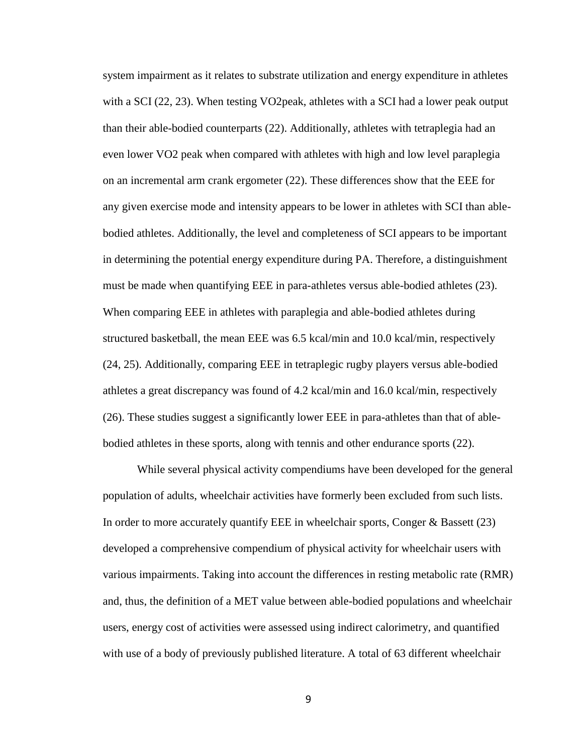system impairment as it relates to substrate utilization and energy expenditure in athletes with a SCI (22, 23). When testing VO2peak, athletes with a SCI had a lower peak output than their able-bodied counterparts (22). Additionally, athletes with tetraplegia had an even lower VO2 peak when compared with athletes with high and low level paraplegia on an incremental arm crank ergometer (22). These differences show that the EEE for any given exercise mode and intensity appears to be lower in athletes with SCI than ablebodied athletes. Additionally, the level and completeness of SCI appears to be important in determining the potential energy expenditure during PA. Therefore, a distinguishment must be made when quantifying EEE in para-athletes versus able-bodied athletes (23). When comparing EEE in athletes with paraplegia and able-bodied athletes during structured basketball, the mean EEE was 6.5 kcal/min and 10.0 kcal/min, respectively (24, 25). Additionally, comparing EEE in tetraplegic rugby players versus able-bodied athletes a great discrepancy was found of 4.2 kcal/min and 16.0 kcal/min, respectively (26). These studies suggest a significantly lower EEE in para-athletes than that of ablebodied athletes in these sports, along with tennis and other endurance sports (22).

While several physical activity compendiums have been developed for the general population of adults, wheelchair activities have formerly been excluded from such lists. In order to more accurately quantify EEE in wheelchair sports, Conger & Bassett (23) developed a comprehensive compendium of physical activity for wheelchair users with various impairments. Taking into account the differences in resting metabolic rate (RMR) and, thus, the definition of a MET value between able-bodied populations and wheelchair users, energy cost of activities were assessed using indirect calorimetry, and quantified with use of a body of previously published literature. A total of 63 different wheelchair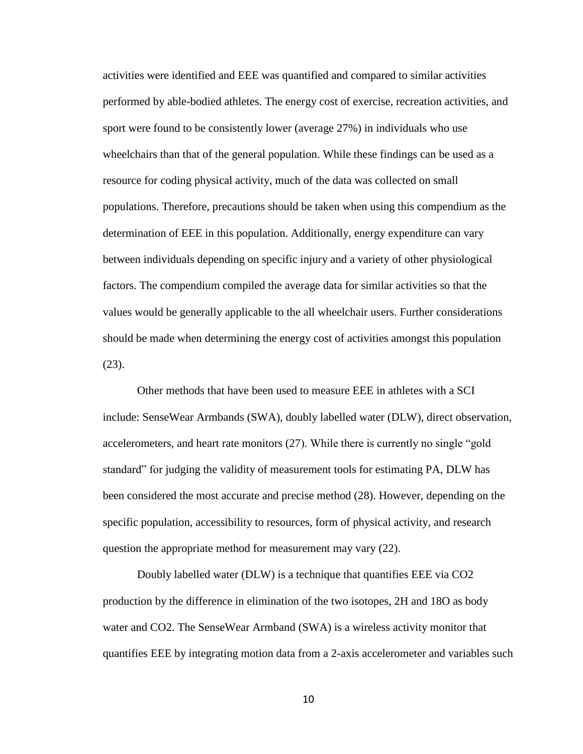activities were identified and EEE was quantified and compared to similar activities performed by able-bodied athletes. The energy cost of exercise, recreation activities, and sport were found to be consistently lower (average 27%) in individuals who use wheelchairs than that of the general population. While these findings can be used as a resource for coding physical activity, much of the data was collected on small populations. Therefore, precautions should be taken when using this compendium as the determination of EEE in this population. Additionally, energy expenditure can vary between individuals depending on specific injury and a variety of other physiological factors. The compendium compiled the average data for similar activities so that the values would be generally applicable to the all wheelchair users. Further considerations should be made when determining the energy cost of activities amongst this population (23).

Other methods that have been used to measure EEE in athletes with a SCI include: SenseWear Armbands (SWA), doubly labelled water (DLW), direct observation, accelerometers, and heart rate monitors (27). While there is currently no single "gold standard" for judging the validity of measurement tools for estimating PA, DLW has been considered the most accurate and precise method (28). However, depending on the specific population, accessibility to resources, form of physical activity, and research question the appropriate method for measurement may vary (22).

Doubly labelled water (DLW) is a technique that quantifies EEE via CO2 production by the difference in elimination of the two isotopes, 2H and 18O as body water and CO2. The SenseWear Armband (SWA) is a wireless activity monitor that quantifies EEE by integrating motion data from a 2-axis accelerometer and variables such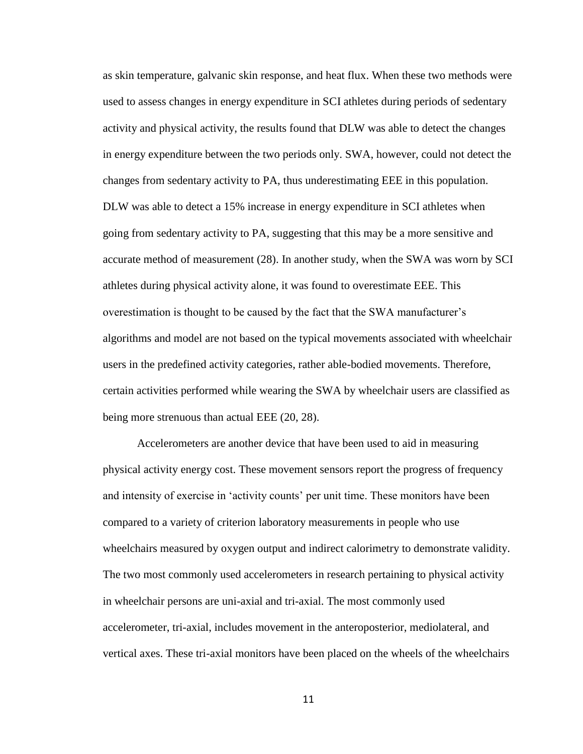as skin temperature, galvanic skin response, and heat flux. When these two methods were used to assess changes in energy expenditure in SCI athletes during periods of sedentary activity and physical activity, the results found that DLW was able to detect the changes in energy expenditure between the two periods only. SWA, however, could not detect the changes from sedentary activity to PA, thus underestimating EEE in this population. DLW was able to detect a 15% increase in energy expenditure in SCI athletes when going from sedentary activity to PA, suggesting that this may be a more sensitive and accurate method of measurement (28). In another study, when the SWA was worn by SCI athletes during physical activity alone, it was found to overestimate EEE. This overestimation is thought to be caused by the fact that the SWA manufacturer's algorithms and model are not based on the typical movements associated with wheelchair users in the predefined activity categories, rather able-bodied movements. Therefore, certain activities performed while wearing the SWA by wheelchair users are classified as being more strenuous than actual EEE (20, 28).

Accelerometers are another device that have been used to aid in measuring physical activity energy cost. These movement sensors report the progress of frequency and intensity of exercise in 'activity counts' per unit time. These monitors have been compared to a variety of criterion laboratory measurements in people who use wheelchairs measured by oxygen output and indirect calorimetry to demonstrate validity. The two most commonly used accelerometers in research pertaining to physical activity in wheelchair persons are uni-axial and tri-axial. The most commonly used accelerometer, tri-axial, includes movement in the anteroposterior, mediolateral, and vertical axes. These tri-axial monitors have been placed on the wheels of the wheelchairs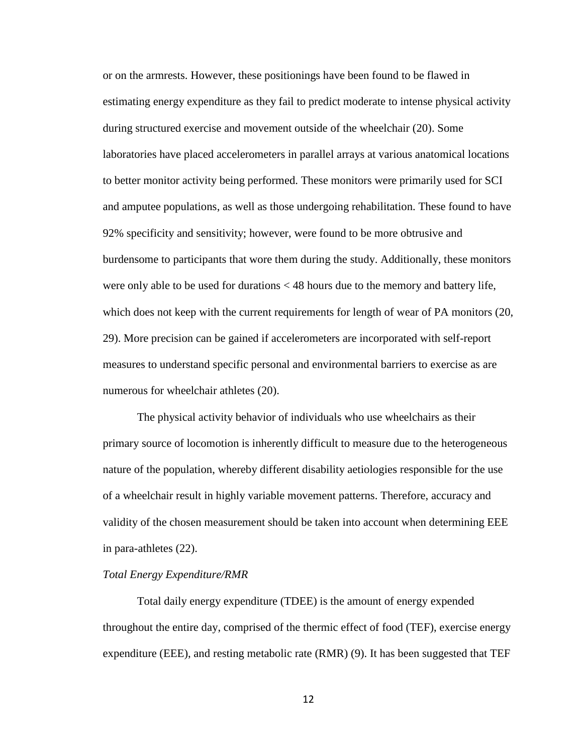or on the armrests. However, these positionings have been found to be flawed in estimating energy expenditure as they fail to predict moderate to intense physical activity during structured exercise and movement outside of the wheelchair (20). Some laboratories have placed accelerometers in parallel arrays at various anatomical locations to better monitor activity being performed. These monitors were primarily used for SCI and amputee populations, as well as those undergoing rehabilitation. These found to have 92% specificity and sensitivity; however, were found to be more obtrusive and burdensome to participants that wore them during the study. Additionally, these monitors were only able to be used for durations < 48 hours due to the memory and battery life, which does not keep with the current requirements for length of wear of PA monitors (20, 29). More precision can be gained if accelerometers are incorporated with self-report measures to understand specific personal and environmental barriers to exercise as are numerous for wheelchair athletes (20).

The physical activity behavior of individuals who use wheelchairs as their primary source of locomotion is inherently difficult to measure due to the heterogeneous nature of the population, whereby different disability aetiologies responsible for the use of a wheelchair result in highly variable movement patterns. Therefore, accuracy and validity of the chosen measurement should be taken into account when determining EEE in para-athletes (22).

#### *Total Energy Expenditure/RMR*

Total daily energy expenditure (TDEE) is the amount of energy expended throughout the entire day, comprised of the thermic effect of food (TEF), exercise energy expenditure (EEE), and resting metabolic rate (RMR) (9). It has been suggested that TEF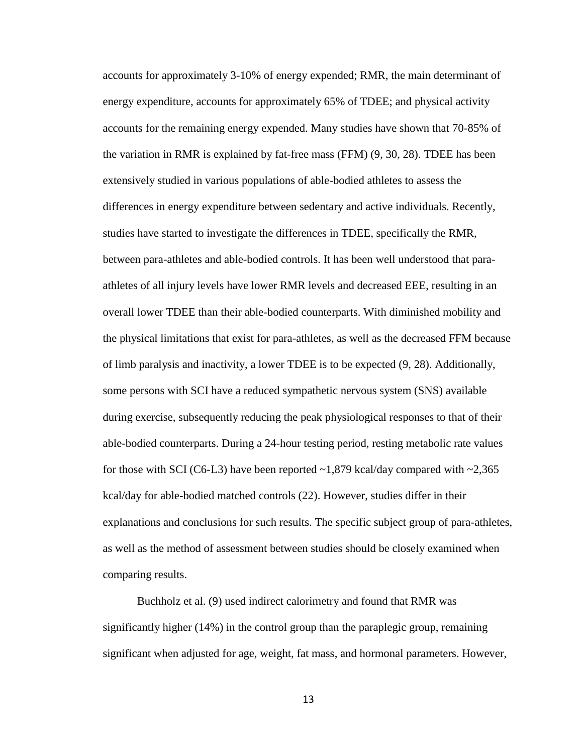accounts for approximately 3-10% of energy expended; RMR, the main determinant of energy expenditure, accounts for approximately 65% of TDEE; and physical activity accounts for the remaining energy expended. Many studies have shown that 70-85% of the variation in RMR is explained by fat-free mass (FFM) (9, 30, 28). TDEE has been extensively studied in various populations of able-bodied athletes to assess the differences in energy expenditure between sedentary and active individuals. Recently, studies have started to investigate the differences in TDEE, specifically the RMR, between para-athletes and able-bodied controls. It has been well understood that paraathletes of all injury levels have lower RMR levels and decreased EEE, resulting in an overall lower TDEE than their able-bodied counterparts. With diminished mobility and the physical limitations that exist for para-athletes, as well as the decreased FFM because of limb paralysis and inactivity, a lower TDEE is to be expected (9, 28). Additionally, some persons with SCI have a reduced sympathetic nervous system (SNS) available during exercise, subsequently reducing the peak physiological responses to that of their able-bodied counterparts. During a 24-hour testing period, resting metabolic rate values for those with SCI (C6-L3) have been reported  $\sim$ 1,879 kcal/day compared with  $\sim$ 2,365 kcal/day for able-bodied matched controls (22). However, studies differ in their explanations and conclusions for such results. The specific subject group of para-athletes, as well as the method of assessment between studies should be closely examined when comparing results.

Buchholz et al. (9) used indirect calorimetry and found that RMR was significantly higher (14%) in the control group than the paraplegic group, remaining significant when adjusted for age, weight, fat mass, and hormonal parameters. However,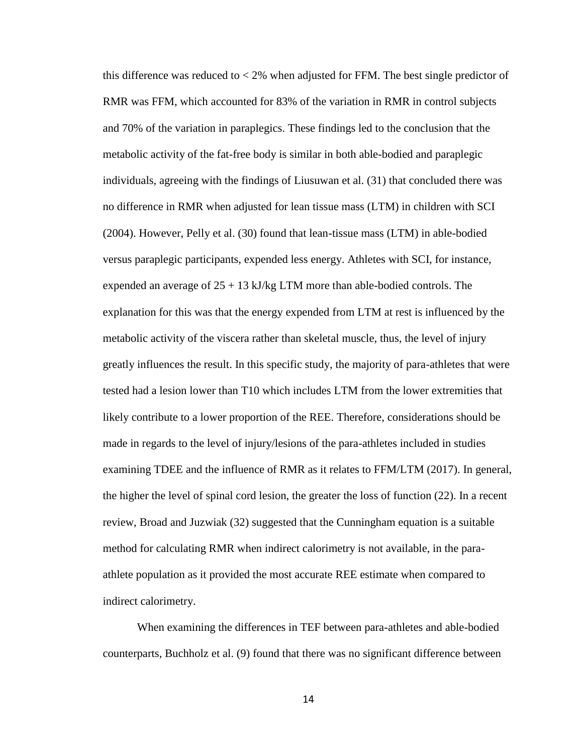this difference was reduced to  $< 2\%$  when adjusted for FFM. The best single predictor of RMR was FFM, which accounted for 83% of the variation in RMR in control subjects and 70% of the variation in paraplegics. These findings led to the conclusion that the metabolic activity of the fat-free body is similar in both able-bodied and paraplegic individuals, agreeing with the findings of Liusuwan et al. (31) that concluded there was no difference in RMR when adjusted for lean tissue mass (LTM) in children with SCI (2004). However, Pelly et al. (30) found that lean-tissue mass (LTM) in able-bodied versus paraplegic participants, expended less energy. Athletes with SCI, for instance, expended an average of  $25 + 13$  kJ/kg LTM more than able-bodied controls. The explanation for this was that the energy expended from LTM at rest is influenced by the metabolic activity of the viscera rather than skeletal muscle, thus, the level of injury greatly influences the result. In this specific study, the majority of para-athletes that were tested had a lesion lower than T10 which includes LTM from the lower extremities that likely contribute to a lower proportion of the REE. Therefore, considerations should be made in regards to the level of injury/lesions of the para-athletes included in studies examining TDEE and the influence of RMR as it relates to FFM/LTM (2017). In general, the higher the level of spinal cord lesion, the greater the loss of function (22). In a recent review, Broad and Juzwiak (32) suggested that the Cunningham equation is a suitable method for calculating RMR when indirect calorimetry is not available, in the paraathlete population as it provided the most accurate REE estimate when compared to indirect calorimetry.

When examining the differences in TEF between para-athletes and able-bodied counterparts, Buchholz et al. (9) found that there was no significant difference between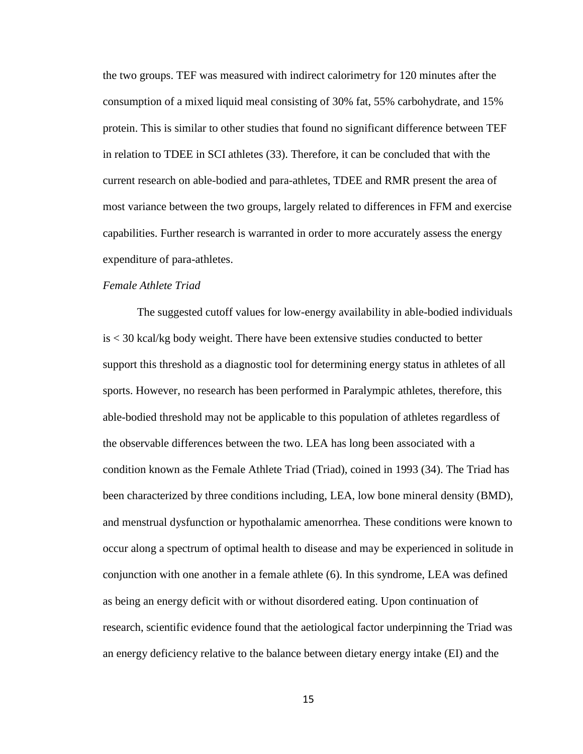the two groups. TEF was measured with indirect calorimetry for 120 minutes after the consumption of a mixed liquid meal consisting of 30% fat, 55% carbohydrate, and 15% protein. This is similar to other studies that found no significant difference between TEF in relation to TDEE in SCI athletes (33). Therefore, it can be concluded that with the current research on able-bodied and para-athletes, TDEE and RMR present the area of most variance between the two groups, largely related to differences in FFM and exercise capabilities. Further research is warranted in order to more accurately assess the energy expenditure of para-athletes.

#### *Female Athlete Triad*

The suggested cutoff values for low-energy availability in able-bodied individuals is < 30 kcal/kg body weight. There have been extensive studies conducted to better support this threshold as a diagnostic tool for determining energy status in athletes of all sports. However, no research has been performed in Paralympic athletes, therefore, this able-bodied threshold may not be applicable to this population of athletes regardless of the observable differences between the two. LEA has long been associated with a condition known as the Female Athlete Triad (Triad), coined in 1993 (34). The Triad has been characterized by three conditions including, LEA, low bone mineral density (BMD), and menstrual dysfunction or hypothalamic amenorrhea. These conditions were known to occur along a spectrum of optimal health to disease and may be experienced in solitude in conjunction with one another in a female athlete (6). In this syndrome, LEA was defined as being an energy deficit with or without disordered eating. Upon continuation of research, scientific evidence found that the aetiological factor underpinning the Triad was an energy deficiency relative to the balance between dietary energy intake (EI) and the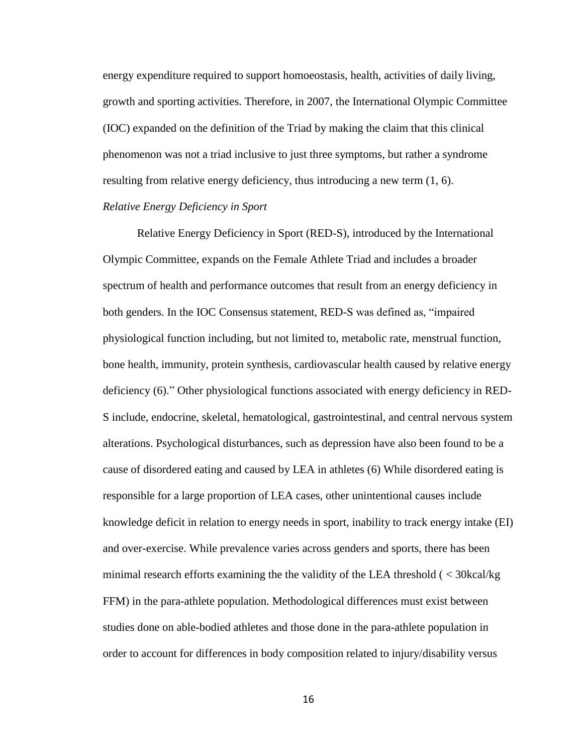energy expenditure required to support homoeostasis, health, activities of daily living, growth and sporting activities. Therefore, in 2007, the International Olympic Committee (IOC) expanded on the definition of the Triad by making the claim that this clinical phenomenon was not a triad inclusive to just three symptoms, but rather a syndrome resulting from relative energy deficiency, thus introducing a new term (1, 6).

### *Relative Energy Deficiency in Sport*

Relative Energy Deficiency in Sport (RED-S), introduced by the International Olympic Committee, expands on the Female Athlete Triad and includes a broader spectrum of health and performance outcomes that result from an energy deficiency in both genders. In the IOC Consensus statement, RED-S was defined as, "impaired physiological function including, but not limited to, metabolic rate, menstrual function, bone health, immunity, protein synthesis, cardiovascular health caused by relative energy deficiency (6)." Other physiological functions associated with energy deficiency in RED-S include, endocrine, skeletal, hematological, gastrointestinal, and central nervous system alterations. Psychological disturbances, such as depression have also been found to be a cause of disordered eating and caused by LEA in athletes (6) While disordered eating is responsible for a large proportion of LEA cases, other unintentional causes include knowledge deficit in relation to energy needs in sport, inability to track energy intake (EI) and over-exercise. While prevalence varies across genders and sports, there has been minimal research efforts examining the the validity of the LEA threshold ( < 30kcal/kg FFM) in the para-athlete population. Methodological differences must exist between studies done on able-bodied athletes and those done in the para-athlete population in order to account for differences in body composition related to injury/disability versus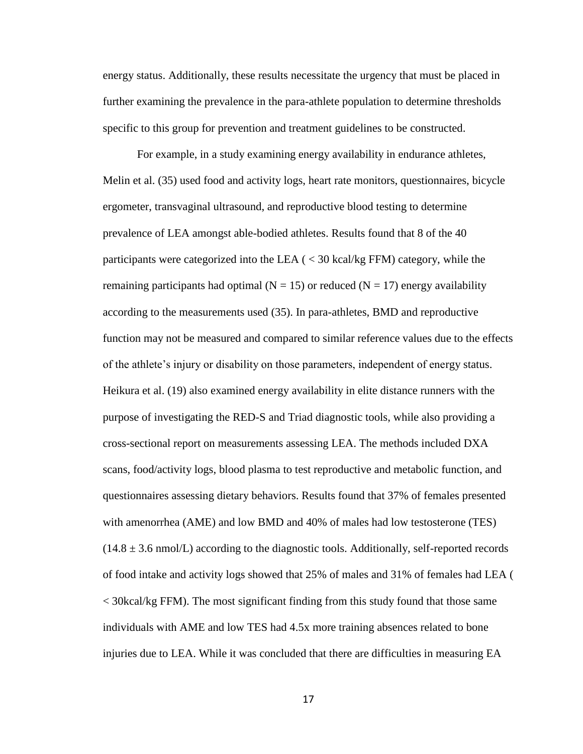energy status. Additionally, these results necessitate the urgency that must be placed in further examining the prevalence in the para-athlete population to determine thresholds specific to this group for prevention and treatment guidelines to be constructed.

For example, in a study examining energy availability in endurance athletes, Melin et al. (35) used food and activity logs, heart rate monitors, questionnaires, bicycle ergometer, transvaginal ultrasound, and reproductive blood testing to determine prevalence of LEA amongst able-bodied athletes. Results found that 8 of the 40 participants were categorized into the LEA ( < 30 kcal/kg FFM) category, while the remaining participants had optimal ( $N = 15$ ) or reduced ( $N = 17$ ) energy availability according to the measurements used (35). In para-athletes, BMD and reproductive function may not be measured and compared to similar reference values due to the effects of the athlete's injury or disability on those parameters, independent of energy status. Heikura et al. (19) also examined energy availability in elite distance runners with the purpose of investigating the RED-S and Triad diagnostic tools, while also providing a cross-sectional report on measurements assessing LEA. The methods included DXA scans, food/activity logs, blood plasma to test reproductive and metabolic function, and questionnaires assessing dietary behaviors. Results found that 37% of females presented with amenorrhea (AME) and low BMD and 40% of males had low testosterone (TES)  $(14.8 \pm 3.6 \text{ nmol/L})$  according to the diagnostic tools. Additionally, self-reported records of food intake and activity logs showed that 25% of males and 31% of females had LEA ( < 30kcal/kg FFM). The most significant finding from this study found that those same individuals with AME and low TES had 4.5x more training absences related to bone injuries due to LEA. While it was concluded that there are difficulties in measuring EA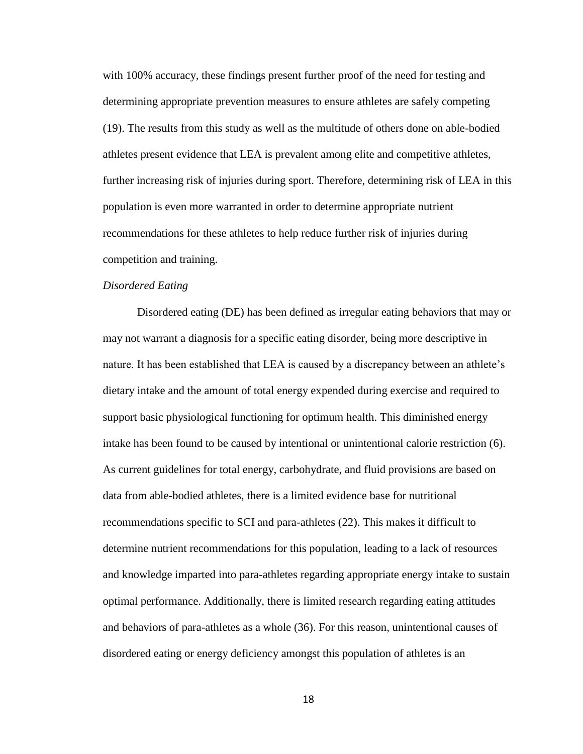with 100% accuracy, these findings present further proof of the need for testing and determining appropriate prevention measures to ensure athletes are safely competing (19). The results from this study as well as the multitude of others done on able-bodied athletes present evidence that LEA is prevalent among elite and competitive athletes, further increasing risk of injuries during sport. Therefore, determining risk of LEA in this population is even more warranted in order to determine appropriate nutrient recommendations for these athletes to help reduce further risk of injuries during competition and training.

#### *Disordered Eating*

Disordered eating (DE) has been defined as irregular eating behaviors that may or may not warrant a diagnosis for a specific eating disorder, being more descriptive in nature. It has been established that LEA is caused by a discrepancy between an athlete's dietary intake and the amount of total energy expended during exercise and required to support basic physiological functioning for optimum health. This diminished energy intake has been found to be caused by intentional or unintentional calorie restriction (6). As current guidelines for total energy, carbohydrate, and fluid provisions are based on data from able-bodied athletes, there is a limited evidence base for nutritional recommendations specific to SCI and para-athletes (22). This makes it difficult to determine nutrient recommendations for this population, leading to a lack of resources and knowledge imparted into para-athletes regarding appropriate energy intake to sustain optimal performance. Additionally, there is limited research regarding eating attitudes and behaviors of para-athletes as a whole (36). For this reason, unintentional causes of disordered eating or energy deficiency amongst this population of athletes is an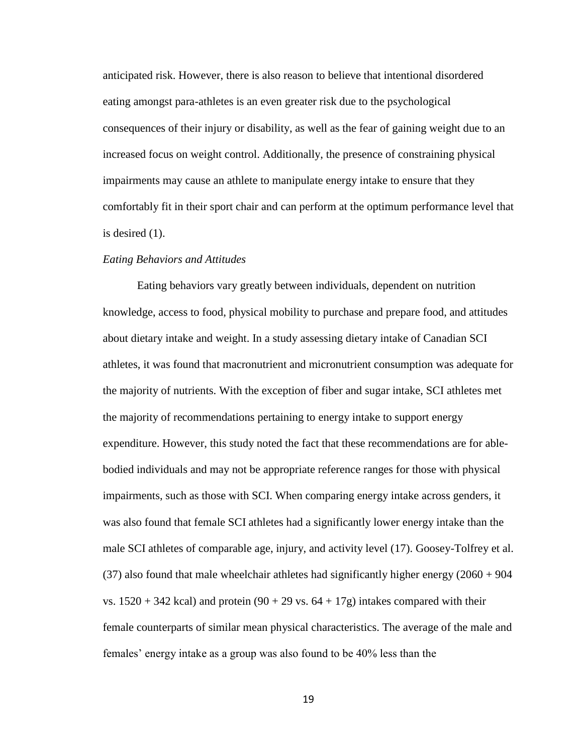anticipated risk. However, there is also reason to believe that intentional disordered eating amongst para-athletes is an even greater risk due to the psychological consequences of their injury or disability, as well as the fear of gaining weight due to an increased focus on weight control. Additionally, the presence of constraining physical impairments may cause an athlete to manipulate energy intake to ensure that they comfortably fit in their sport chair and can perform at the optimum performance level that is desired (1).

#### *Eating Behaviors and Attitudes*

Eating behaviors vary greatly between individuals, dependent on nutrition knowledge, access to food, physical mobility to purchase and prepare food, and attitudes about dietary intake and weight. In a study assessing dietary intake of Canadian SCI athletes, it was found that macronutrient and micronutrient consumption was adequate for the majority of nutrients. With the exception of fiber and sugar intake, SCI athletes met the majority of recommendations pertaining to energy intake to support energy expenditure. However, this study noted the fact that these recommendations are for ablebodied individuals and may not be appropriate reference ranges for those with physical impairments, such as those with SCI. When comparing energy intake across genders, it was also found that female SCI athletes had a significantly lower energy intake than the male SCI athletes of comparable age, injury, and activity level (17). Goosey-Tolfrey et al.  $(37)$  also found that male wheelchair athletes had significantly higher energy  $(2060 + 904)$ vs.  $1520 + 342$  kcal) and protein  $(90 + 29 \text{ vs. } 64 + 17 \text{ g})$  intakes compared with their female counterparts of similar mean physical characteristics. The average of the male and females' energy intake as a group was also found to be 40% less than the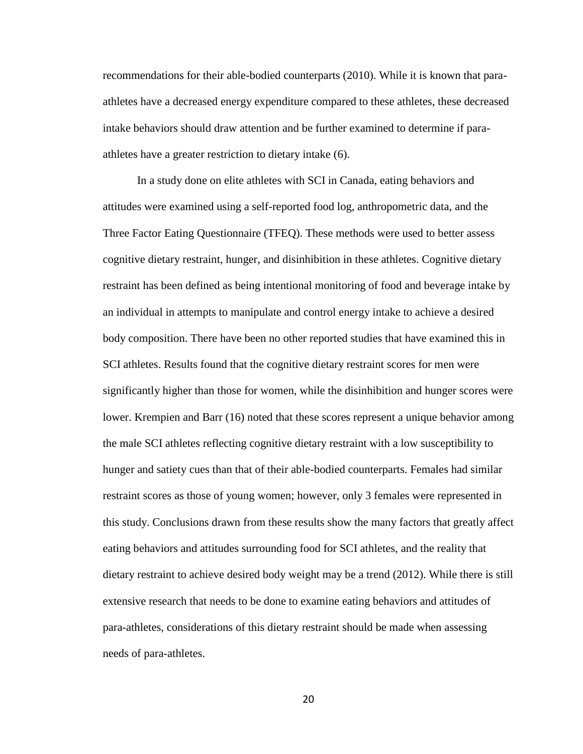recommendations for their able-bodied counterparts (2010). While it is known that paraathletes have a decreased energy expenditure compared to these athletes, these decreased intake behaviors should draw attention and be further examined to determine if paraathletes have a greater restriction to dietary intake (6).

In a study done on elite athletes with SCI in Canada, eating behaviors and attitudes were examined using a self-reported food log, anthropometric data, and the Three Factor Eating Questionnaire (TFEQ). These methods were used to better assess cognitive dietary restraint, hunger, and disinhibition in these athletes. Cognitive dietary restraint has been defined as being intentional monitoring of food and beverage intake by an individual in attempts to manipulate and control energy intake to achieve a desired body composition. There have been no other reported studies that have examined this in SCI athletes. Results found that the cognitive dietary restraint scores for men were significantly higher than those for women, while the disinhibition and hunger scores were lower. Krempien and Barr (16) noted that these scores represent a unique behavior among the male SCI athletes reflecting cognitive dietary restraint with a low susceptibility to hunger and satiety cues than that of their able-bodied counterparts. Females had similar restraint scores as those of young women; however, only 3 females were represented in this study. Conclusions drawn from these results show the many factors that greatly affect eating behaviors and attitudes surrounding food for SCI athletes, and the reality that dietary restraint to achieve desired body weight may be a trend (2012). While there is still extensive research that needs to be done to examine eating behaviors and attitudes of para-athletes, considerations of this dietary restraint should be made when assessing needs of para-athletes.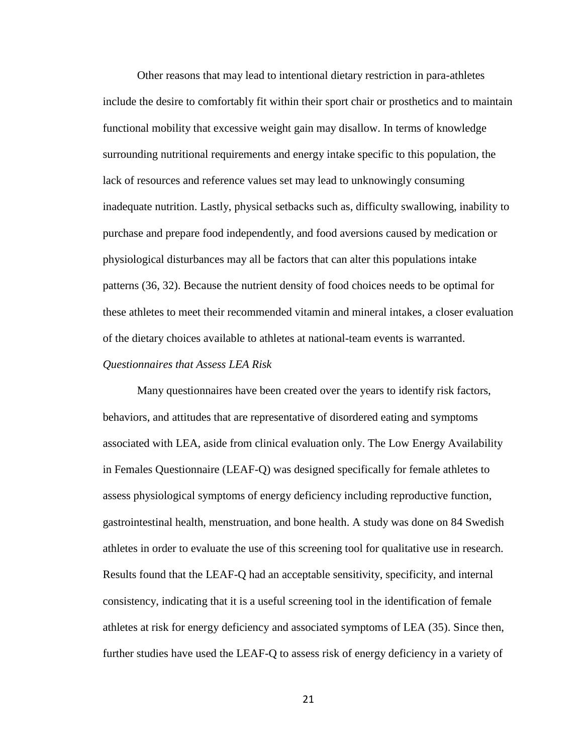Other reasons that may lead to intentional dietary restriction in para-athletes include the desire to comfortably fit within their sport chair or prosthetics and to maintain functional mobility that excessive weight gain may disallow. In terms of knowledge surrounding nutritional requirements and energy intake specific to this population, the lack of resources and reference values set may lead to unknowingly consuming inadequate nutrition. Lastly, physical setbacks such as, difficulty swallowing, inability to purchase and prepare food independently, and food aversions caused by medication or physiological disturbances may all be factors that can alter this populations intake patterns (36, 32). Because the nutrient density of food choices needs to be optimal for these athletes to meet their recommended vitamin and mineral intakes, a closer evaluation of the dietary choices available to athletes at national-team events is warranted.

#### *Questionnaires that Assess LEA Risk*

Many questionnaires have been created over the years to identify risk factors, behaviors, and attitudes that are representative of disordered eating and symptoms associated with LEA, aside from clinical evaluation only. The Low Energy Availability in Females Questionnaire (LEAF-Q) was designed specifically for female athletes to assess physiological symptoms of energy deficiency including reproductive function, gastrointestinal health, menstruation, and bone health. A study was done on 84 Swedish athletes in order to evaluate the use of this screening tool for qualitative use in research. Results found that the LEAF-Q had an acceptable sensitivity, specificity, and internal consistency, indicating that it is a useful screening tool in the identification of female athletes at risk for energy deficiency and associated symptoms of LEA (35). Since then, further studies have used the LEAF-Q to assess risk of energy deficiency in a variety of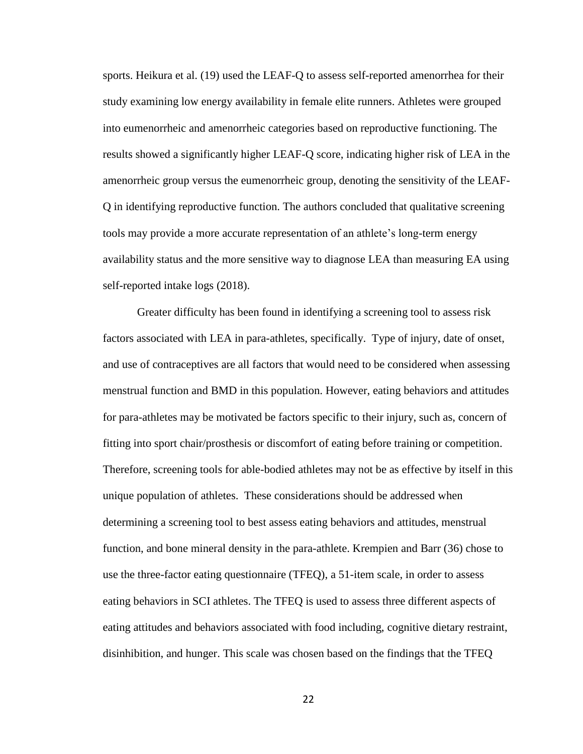sports. Heikura et al. (19) used the LEAF-Q to assess self-reported amenorrhea for their study examining low energy availability in female elite runners. Athletes were grouped into eumenorrheic and amenorrheic categories based on reproductive functioning. The results showed a significantly higher LEAF-Q score, indicating higher risk of LEA in the amenorrheic group versus the eumenorrheic group, denoting the sensitivity of the LEAF-Q in identifying reproductive function. The authors concluded that qualitative screening tools may provide a more accurate representation of an athlete's long-term energy availability status and the more sensitive way to diagnose LEA than measuring EA using self-reported intake logs (2018).

Greater difficulty has been found in identifying a screening tool to assess risk factors associated with LEA in para-athletes, specifically. Type of injury, date of onset, and use of contraceptives are all factors that would need to be considered when assessing menstrual function and BMD in this population. However, eating behaviors and attitudes for para-athletes may be motivated be factors specific to their injury, such as, concern of fitting into sport chair/prosthesis or discomfort of eating before training or competition. Therefore, screening tools for able-bodied athletes may not be as effective by itself in this unique population of athletes. These considerations should be addressed when determining a screening tool to best assess eating behaviors and attitudes, menstrual function, and bone mineral density in the para-athlete. Krempien and Barr (36) chose to use the three-factor eating questionnaire (TFEQ), a 51-item scale, in order to assess eating behaviors in SCI athletes. The TFEQ is used to assess three different aspects of eating attitudes and behaviors associated with food including, cognitive dietary restraint, disinhibition, and hunger. This scale was chosen based on the findings that the TFEQ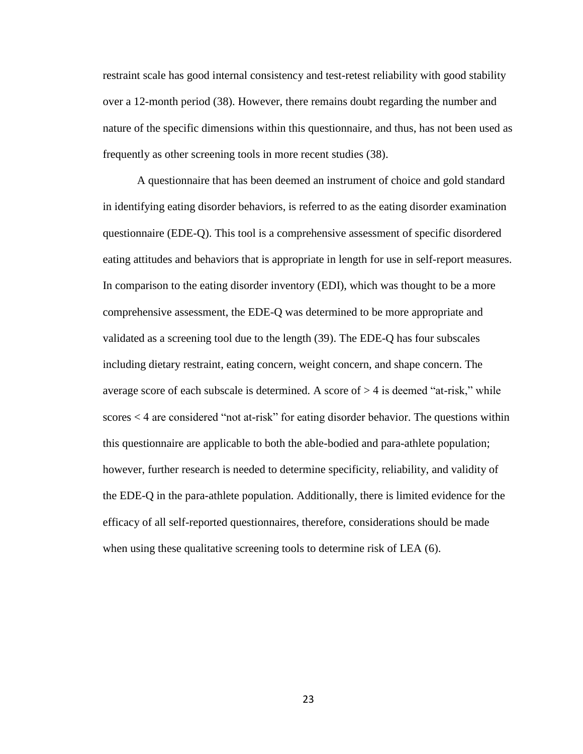restraint scale has good internal consistency and test-retest reliability with good stability over a 12-month period (38). However, there remains doubt regarding the number and nature of the specific dimensions within this questionnaire, and thus, has not been used as frequently as other screening tools in more recent studies (38).

A questionnaire that has been deemed an instrument of choice and gold standard in identifying eating disorder behaviors, is referred to as the eating disorder examination questionnaire (EDE-Q). This tool is a comprehensive assessment of specific disordered eating attitudes and behaviors that is appropriate in length for use in self-report measures. In comparison to the eating disorder inventory (EDI), which was thought to be a more comprehensive assessment, the EDE-Q was determined to be more appropriate and validated as a screening tool due to the length (39). The EDE-Q has four subscales including dietary restraint, eating concern, weight concern, and shape concern. The average score of each subscale is determined. A score of  $> 4$  is deemed "at-risk," while scores < 4 are considered "not at-risk" for eating disorder behavior. The questions within this questionnaire are applicable to both the able-bodied and para-athlete population; however, further research is needed to determine specificity, reliability, and validity of the EDE-Q in the para-athlete population. Additionally, there is limited evidence for the efficacy of all self-reported questionnaires, therefore, considerations should be made when using these qualitative screening tools to determine risk of LEA (6).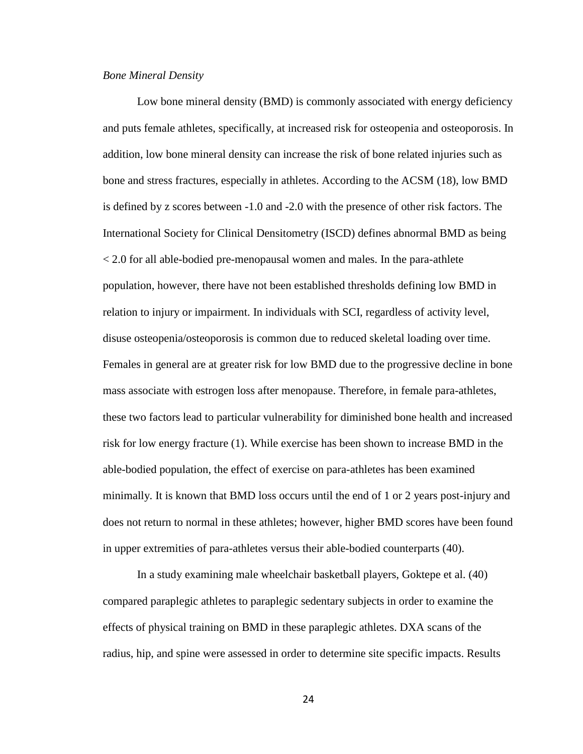#### *Bone Mineral Density*

Low bone mineral density (BMD) is commonly associated with energy deficiency and puts female athletes, specifically, at increased risk for osteopenia and osteoporosis. In addition, low bone mineral density can increase the risk of bone related injuries such as bone and stress fractures, especially in athletes. According to the ACSM (18), low BMD is defined by z scores between -1.0 and -2.0 with the presence of other risk factors. The International Society for Clinical Densitometry (ISCD) defines abnormal BMD as being < 2.0 for all able-bodied pre-menopausal women and males. In the para-athlete population, however, there have not been established thresholds defining low BMD in relation to injury or impairment. In individuals with SCI, regardless of activity level, disuse osteopenia/osteoporosis is common due to reduced skeletal loading over time. Females in general are at greater risk for low BMD due to the progressive decline in bone mass associate with estrogen loss after menopause. Therefore, in female para-athletes, these two factors lead to particular vulnerability for diminished bone health and increased risk for low energy fracture (1). While exercise has been shown to increase BMD in the able-bodied population, the effect of exercise on para-athletes has been examined minimally. It is known that BMD loss occurs until the end of 1 or 2 years post-injury and does not return to normal in these athletes; however, higher BMD scores have been found in upper extremities of para-athletes versus their able-bodied counterparts (40).

In a study examining male wheelchair basketball players, Goktepe et al. (40) compared paraplegic athletes to paraplegic sedentary subjects in order to examine the effects of physical training on BMD in these paraplegic athletes. DXA scans of the radius, hip, and spine were assessed in order to determine site specific impacts. Results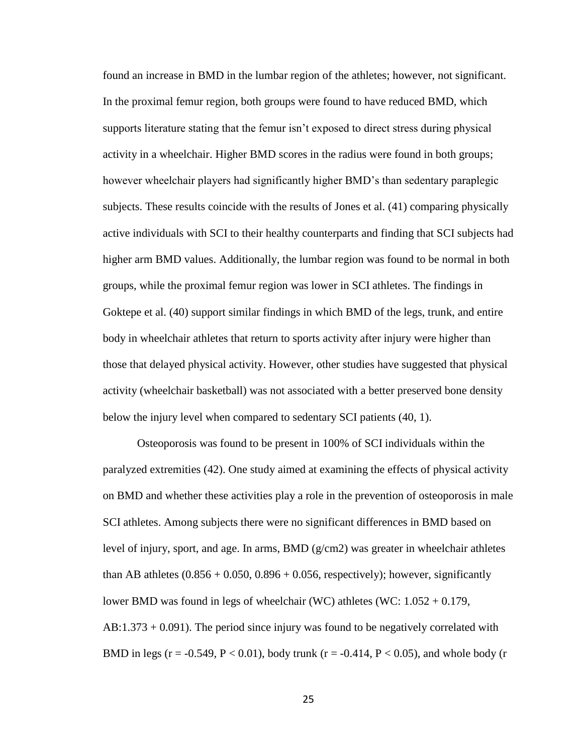found an increase in BMD in the lumbar region of the athletes; however, not significant. In the proximal femur region, both groups were found to have reduced BMD, which supports literature stating that the femur isn't exposed to direct stress during physical activity in a wheelchair. Higher BMD scores in the radius were found in both groups; however wheelchair players had significantly higher BMD's than sedentary paraplegic subjects. These results coincide with the results of Jones et al. (41) comparing physically active individuals with SCI to their healthy counterparts and finding that SCI subjects had higher arm BMD values. Additionally, the lumbar region was found to be normal in both groups, while the proximal femur region was lower in SCI athletes. The findings in Goktepe et al. (40) support similar findings in which BMD of the legs, trunk, and entire body in wheelchair athletes that return to sports activity after injury were higher than those that delayed physical activity. However, other studies have suggested that physical activity (wheelchair basketball) was not associated with a better preserved bone density below the injury level when compared to sedentary SCI patients (40, 1).

Osteoporosis was found to be present in 100% of SCI individuals within the paralyzed extremities (42). One study aimed at examining the effects of physical activity on BMD and whether these activities play a role in the prevention of osteoporosis in male SCI athletes. Among subjects there were no significant differences in BMD based on level of injury, sport, and age. In arms, BMD  $(g/cm2)$  was greater in wheelchair athletes than AB athletes  $(0.856 + 0.050, 0.896 + 0.056,$  respectively); however, significantly lower BMD was found in legs of wheelchair (WC) athletes (WC: 1.052 + 0.179, AB:1.373 + 0.091). The period since injury was found to be negatively correlated with BMD in legs (r = -0.549, P < 0.01), body trunk (r = -0.414, P < 0.05), and whole body (r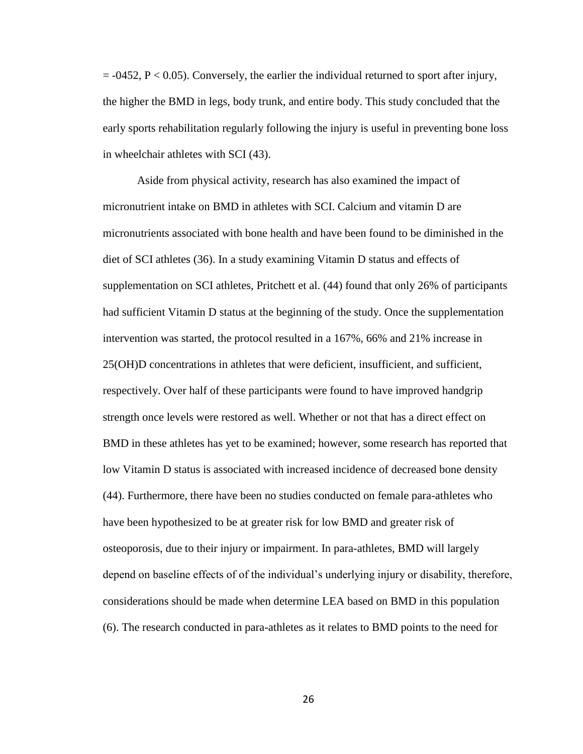$=$  -0452, P < 0.05). Conversely, the earlier the individual returned to sport after injury, the higher the BMD in legs, body trunk, and entire body. This study concluded that the early sports rehabilitation regularly following the injury is useful in preventing bone loss in wheelchair athletes with SCI (43).

Aside from physical activity, research has also examined the impact of micronutrient intake on BMD in athletes with SCI. Calcium and vitamin D are micronutrients associated with bone health and have been found to be diminished in the diet of SCI athletes (36). In a study examining Vitamin D status and effects of supplementation on SCI athletes, Pritchett et al. (44) found that only 26% of participants had sufficient Vitamin D status at the beginning of the study. Once the supplementation intervention was started, the protocol resulted in a 167%, 66% and 21% increase in 25(OH)D concentrations in athletes that were deficient, insufficient, and sufficient, respectively. Over half of these participants were found to have improved handgrip strength once levels were restored as well. Whether or not that has a direct effect on BMD in these athletes has yet to be examined; however, some research has reported that low Vitamin D status is associated with increased incidence of decreased bone density (44). Furthermore, there have been no studies conducted on female para-athletes who have been hypothesized to be at greater risk for low BMD and greater risk of osteoporosis, due to their injury or impairment. In para-athletes, BMD will largely depend on baseline effects of of the individual's underlying injury or disability, therefore, considerations should be made when determine LEA based on BMD in this population (6). The research conducted in para-athletes as it relates to BMD points to the need for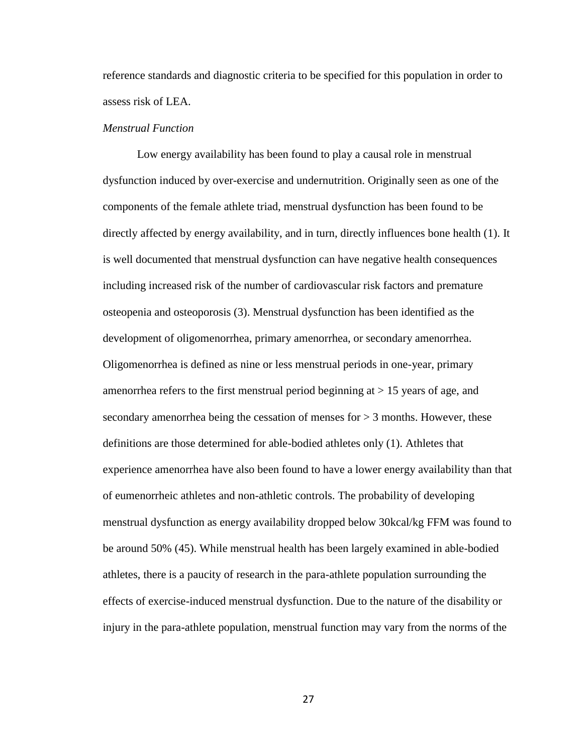reference standards and diagnostic criteria to be specified for this population in order to assess risk of LEA.

#### *Menstrual Function*

Low energy availability has been found to play a causal role in menstrual dysfunction induced by over-exercise and undernutrition. Originally seen as one of the components of the female athlete triad, menstrual dysfunction has been found to be directly affected by energy availability, and in turn, directly influences bone health (1). It is well documented that menstrual dysfunction can have negative health consequences including increased risk of the number of cardiovascular risk factors and premature osteopenia and osteoporosis (3). Menstrual dysfunction has been identified as the development of oligomenorrhea, primary amenorrhea, or secondary amenorrhea. Oligomenorrhea is defined as nine or less menstrual periods in one-year, primary amenorrhea refers to the first menstrual period beginning at  $> 15$  years of age, and secondary amenorrhea being the cessation of menses for  $> 3$  months. However, these definitions are those determined for able-bodied athletes only (1). Athletes that experience amenorrhea have also been found to have a lower energy availability than that of eumenorrheic athletes and non-athletic controls. The probability of developing menstrual dysfunction as energy availability dropped below 30kcal/kg FFM was found to be around 50% (45). While menstrual health has been largely examined in able-bodied athletes, there is a paucity of research in the para-athlete population surrounding the effects of exercise-induced menstrual dysfunction. Due to the nature of the disability or injury in the para-athlete population, menstrual function may vary from the norms of the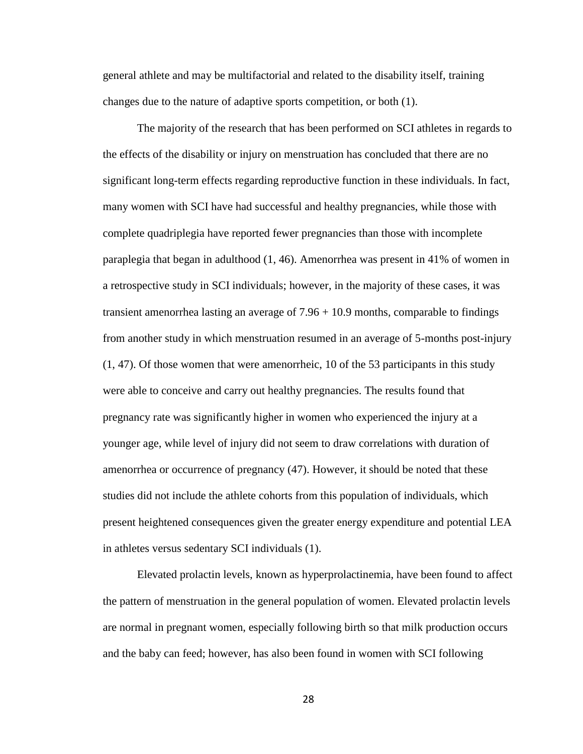general athlete and may be multifactorial and related to the disability itself, training changes due to the nature of adaptive sports competition, or both (1).

The majority of the research that has been performed on SCI athletes in regards to the effects of the disability or injury on menstruation has concluded that there are no significant long-term effects regarding reproductive function in these individuals. In fact, many women with SCI have had successful and healthy pregnancies, while those with complete quadriplegia have reported fewer pregnancies than those with incomplete paraplegia that began in adulthood (1, 46). Amenorrhea was present in 41% of women in a retrospective study in SCI individuals; however, in the majority of these cases, it was transient amenorrhea lasting an average of  $7.96 + 10.9$  months, comparable to findings from another study in which menstruation resumed in an average of 5-months post-injury (1, 47). Of those women that were amenorrheic, 10 of the 53 participants in this study were able to conceive and carry out healthy pregnancies. The results found that pregnancy rate was significantly higher in women who experienced the injury at a younger age, while level of injury did not seem to draw correlations with duration of amenorrhea or occurrence of pregnancy (47). However, it should be noted that these studies did not include the athlete cohorts from this population of individuals, which present heightened consequences given the greater energy expenditure and potential LEA in athletes versus sedentary SCI individuals (1).

Elevated prolactin levels, known as hyperprolactinemia, have been found to affect the pattern of menstruation in the general population of women. Elevated prolactin levels are normal in pregnant women, especially following birth so that milk production occurs and the baby can feed; however, has also been found in women with SCI following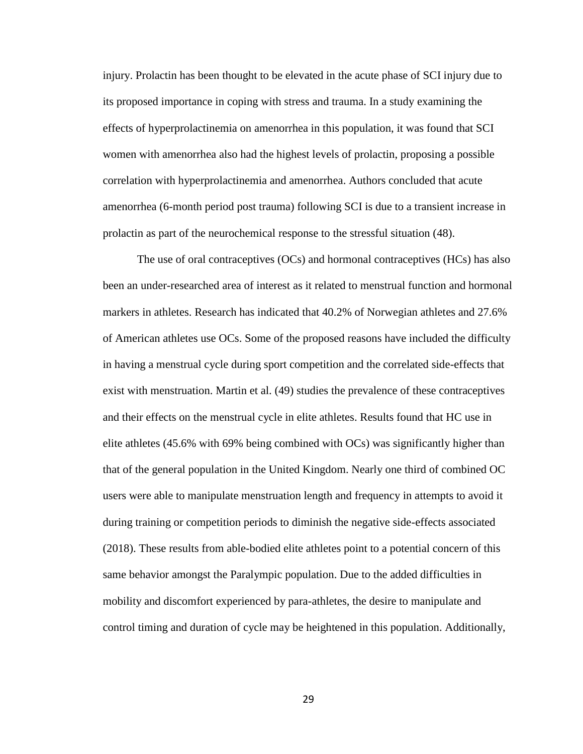injury. Prolactin has been thought to be elevated in the acute phase of SCI injury due to its proposed importance in coping with stress and trauma. In a study examining the effects of hyperprolactinemia on amenorrhea in this population, it was found that SCI women with amenorrhea also had the highest levels of prolactin, proposing a possible correlation with hyperprolactinemia and amenorrhea. Authors concluded that acute amenorrhea (6-month period post trauma) following SCI is due to a transient increase in prolactin as part of the neurochemical response to the stressful situation (48).

The use of oral contraceptives (OCs) and hormonal contraceptives (HCs) has also been an under-researched area of interest as it related to menstrual function and hormonal markers in athletes. Research has indicated that 40.2% of Norwegian athletes and 27.6% of American athletes use OCs. Some of the proposed reasons have included the difficulty in having a menstrual cycle during sport competition and the correlated side-effects that exist with menstruation. Martin et al. (49) studies the prevalence of these contraceptives and their effects on the menstrual cycle in elite athletes. Results found that HC use in elite athletes (45.6% with 69% being combined with OCs) was significantly higher than that of the general population in the United Kingdom. Nearly one third of combined OC users were able to manipulate menstruation length and frequency in attempts to avoid it during training or competition periods to diminish the negative side-effects associated (2018). These results from able-bodied elite athletes point to a potential concern of this same behavior amongst the Paralympic population. Due to the added difficulties in mobility and discomfort experienced by para-athletes, the desire to manipulate and control timing and duration of cycle may be heightened in this population. Additionally,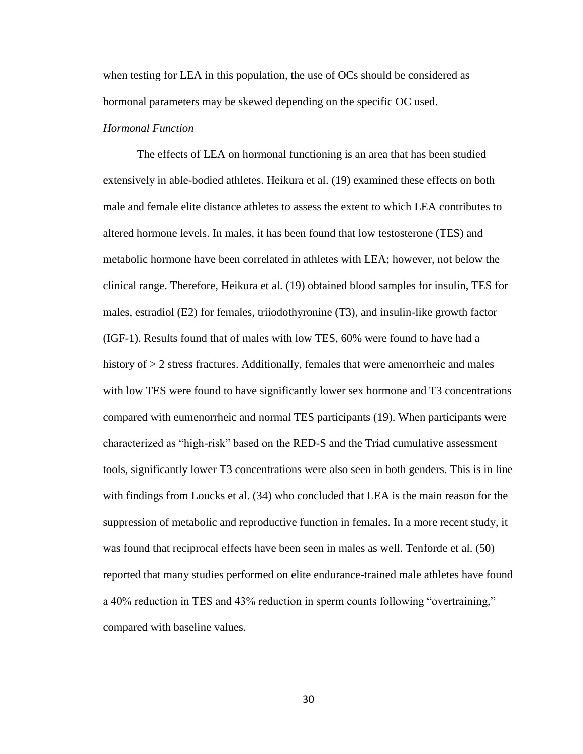when testing for LEA in this population, the use of OCs should be considered as hormonal parameters may be skewed depending on the specific OC used.

# *Hormonal Function*

The effects of LEA on hormonal functioning is an area that has been studied extensively in able-bodied athletes. Heikura et al. (19) examined these effects on both male and female elite distance athletes to assess the extent to which LEA contributes to altered hormone levels. In males, it has been found that low testosterone (TES) and metabolic hormone have been correlated in athletes with LEA; however, not below the clinical range. Therefore, Heikura et al. (19) obtained blood samples for insulin, TES for males, estradiol (E2) for females, triiodothyronine (T3), and insulin-like growth factor (IGF-1). Results found that of males with low TES, 60% were found to have had a history of  $> 2$  stress fractures. Additionally, females that were amenorrheic and males with low TES were found to have significantly lower sex hormone and T3 concentrations compared with eumenorrheic and normal TES participants (19). When participants were characterized as "high-risk" based on the RED-S and the Triad cumulative assessment tools, significantly lower T3 concentrations were also seen in both genders. This is in line with findings from Loucks et al. (34) who concluded that LEA is the main reason for the suppression of metabolic and reproductive function in females. In a more recent study, it was found that reciprocal effects have been seen in males as well. Tenforde et al. (50) reported that many studies performed on elite endurance-trained male athletes have found a 40% reduction in TES and 43% reduction in sperm counts following "overtraining," compared with baseline values.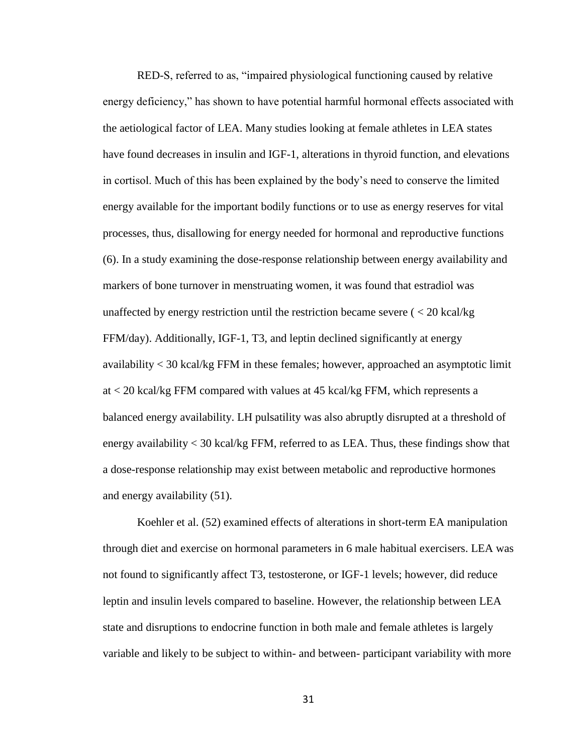RED-S, referred to as, "impaired physiological functioning caused by relative energy deficiency," has shown to have potential harmful hormonal effects associated with the aetiological factor of LEA. Many studies looking at female athletes in LEA states have found decreases in insulin and IGF-1, alterations in thyroid function, and elevations in cortisol. Much of this has been explained by the body's need to conserve the limited energy available for the important bodily functions or to use as energy reserves for vital processes, thus, disallowing for energy needed for hormonal and reproductive functions (6). In a study examining the dose-response relationship between energy availability and markers of bone turnover in menstruating women, it was found that estradiol was unaffected by energy restriction until the restriction became severe  $\zeta$  < 20 kcal/kg FFM/day). Additionally, IGF-1, T3, and leptin declined significantly at energy availability < 30 kcal/kg FFM in these females; however, approached an asymptotic limit at < 20 kcal/kg FFM compared with values at 45 kcal/kg FFM, which represents a balanced energy availability. LH pulsatility was also abruptly disrupted at a threshold of energy availability < 30 kcal/kg FFM, referred to as LEA. Thus, these findings show that a dose-response relationship may exist between metabolic and reproductive hormones and energy availability (51).

Koehler et al. (52) examined effects of alterations in short-term EA manipulation through diet and exercise on hormonal parameters in 6 male habitual exercisers. LEA was not found to significantly affect T3, testosterone, or IGF-1 levels; however, did reduce leptin and insulin levels compared to baseline. However, the relationship between LEA state and disruptions to endocrine function in both male and female athletes is largely variable and likely to be subject to within- and between- participant variability with more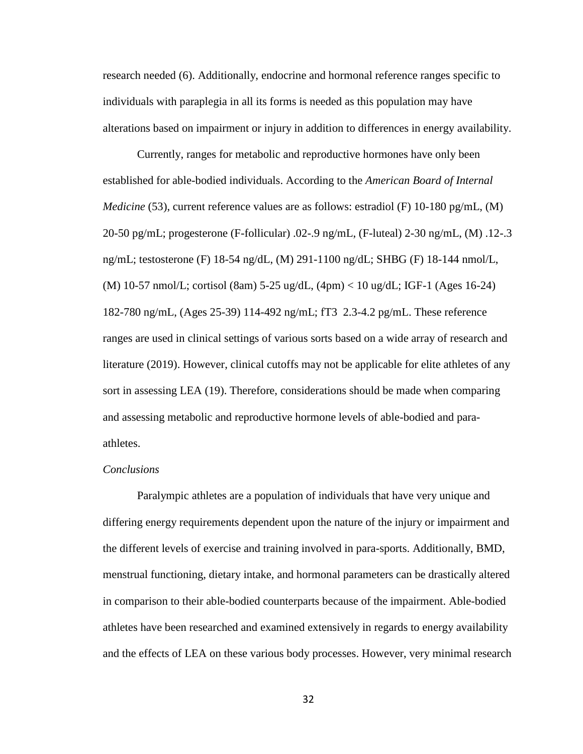research needed (6). Additionally, endocrine and hormonal reference ranges specific to individuals with paraplegia in all its forms is needed as this population may have alterations based on impairment or injury in addition to differences in energy availability.

Currently, ranges for metabolic and reproductive hormones have only been established for able-bodied individuals. According to the *American Board of Internal Medicine* (53), current reference values are as follows: estradiol (F) 10-180 pg/mL, (M) 20-50 pg/mL; progesterone (F-follicular) .02-.9 ng/mL, (F-luteal) 2-30 ng/mL, (M) .12-.3 ng/mL; testosterone (F) 18-54 ng/dL, (M) 291-1100 ng/dL; SHBG (F) 18-144 nmol/L, (M) 10-57 nmol/L; cortisol (8am) 5-25 ug/dL, (4pm) < 10 ug/dL; IGF-1 (Ages 16-24) 182-780 ng/mL, (Ages 25-39) 114-492 ng/mL; fT3 2.3-4.2 pg/mL. These reference ranges are used in clinical settings of various sorts based on a wide array of research and literature (2019). However, clinical cutoffs may not be applicable for elite athletes of any sort in assessing LEA (19). Therefore, considerations should be made when comparing and assessing metabolic and reproductive hormone levels of able-bodied and paraathletes.

#### *Conclusions*

Paralympic athletes are a population of individuals that have very unique and differing energy requirements dependent upon the nature of the injury or impairment and the different levels of exercise and training involved in para-sports. Additionally, BMD, menstrual functioning, dietary intake, and hormonal parameters can be drastically altered in comparison to their able-bodied counterparts because of the impairment. Able-bodied athletes have been researched and examined extensively in regards to energy availability and the effects of LEA on these various body processes. However, very minimal research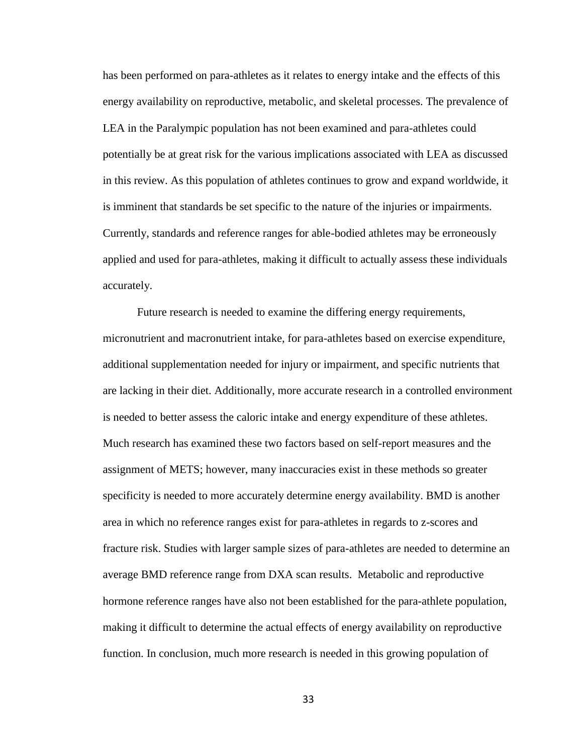has been performed on para-athletes as it relates to energy intake and the effects of this energy availability on reproductive, metabolic, and skeletal processes. The prevalence of LEA in the Paralympic population has not been examined and para-athletes could potentially be at great risk for the various implications associated with LEA as discussed in this review. As this population of athletes continues to grow and expand worldwide, it is imminent that standards be set specific to the nature of the injuries or impairments. Currently, standards and reference ranges for able-bodied athletes may be erroneously applied and used for para-athletes, making it difficult to actually assess these individuals accurately.

Future research is needed to examine the differing energy requirements, micronutrient and macronutrient intake, for para-athletes based on exercise expenditure, additional supplementation needed for injury or impairment, and specific nutrients that are lacking in their diet. Additionally, more accurate research in a controlled environment is needed to better assess the caloric intake and energy expenditure of these athletes. Much research has examined these two factors based on self-report measures and the assignment of METS; however, many inaccuracies exist in these methods so greater specificity is needed to more accurately determine energy availability. BMD is another area in which no reference ranges exist for para-athletes in regards to z-scores and fracture risk. Studies with larger sample sizes of para-athletes are needed to determine an average BMD reference range from DXA scan results. Metabolic and reproductive hormone reference ranges have also not been established for the para-athlete population, making it difficult to determine the actual effects of energy availability on reproductive function. In conclusion, much more research is needed in this growing population of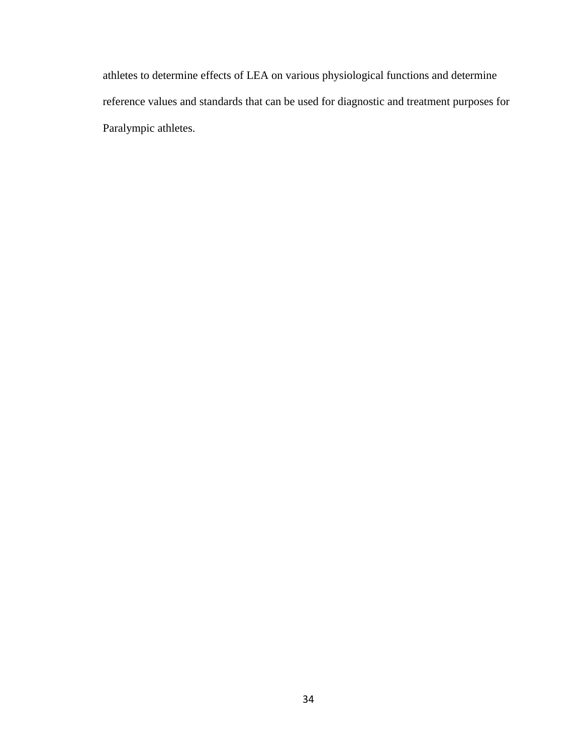athletes to determine effects of LEA on various physiological functions and determine reference values and standards that can be used for diagnostic and treatment purposes for Paralympic athletes.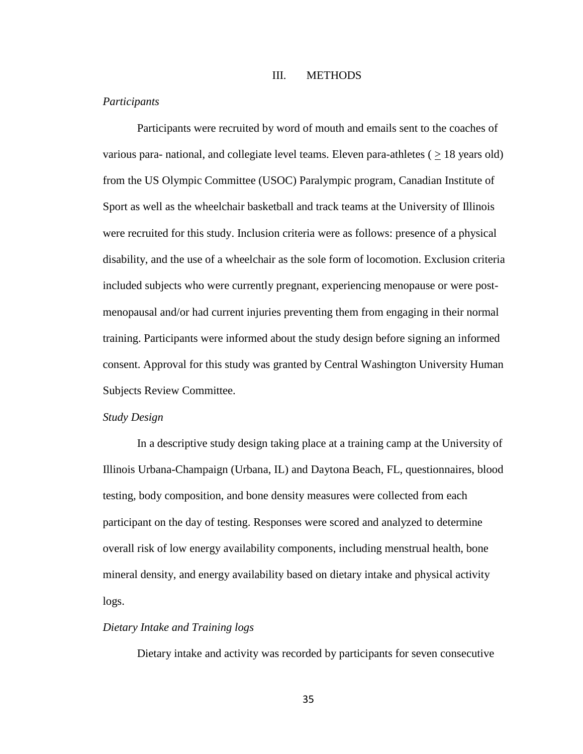### III. METHODS

## *Participants*

Participants were recruited by word of mouth and emails sent to the coaches of various para- national, and collegiate level teams. Eleven para-athletes ( $\geq$  18 years old) from the US Olympic Committee (USOC) Paralympic program, Canadian Institute of Sport as well as the wheelchair basketball and track teams at the University of Illinois were recruited for this study. Inclusion criteria were as follows: presence of a physical disability, and the use of a wheelchair as the sole form of locomotion. Exclusion criteria included subjects who were currently pregnant, experiencing menopause or were postmenopausal and/or had current injuries preventing them from engaging in their normal training. Participants were informed about the study design before signing an informed consent. Approval for this study was granted by Central Washington University Human Subjects Review Committee.

#### *Study Design*

In a descriptive study design taking place at a training camp at the University of Illinois Urbana-Champaign (Urbana, IL) and Daytona Beach, FL, questionnaires, blood testing, body composition, and bone density measures were collected from each participant on the day of testing. Responses were scored and analyzed to determine overall risk of low energy availability components, including menstrual health, bone mineral density, and energy availability based on dietary intake and physical activity logs.

# *Dietary Intake and Training logs*

Dietary intake and activity was recorded by participants for seven consecutive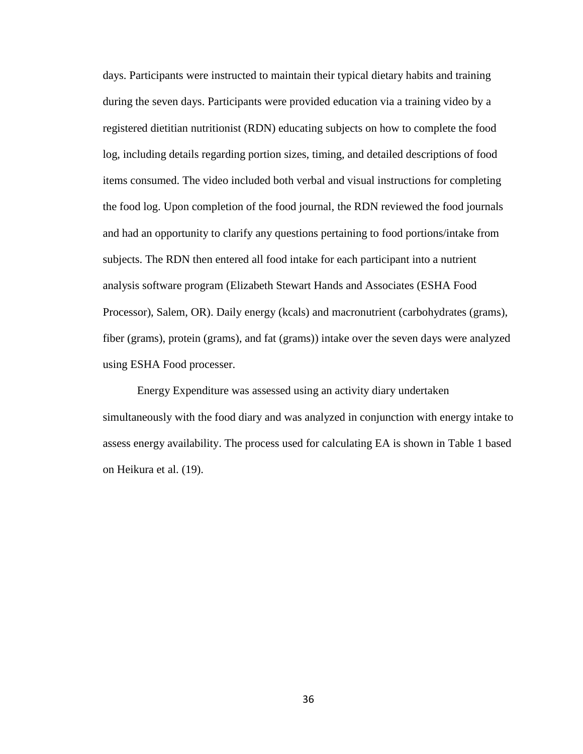days. Participants were instructed to maintain their typical dietary habits and training during the seven days. Participants were provided education via a training video by a registered dietitian nutritionist (RDN) educating subjects on how to complete the food log, including details regarding portion sizes, timing, and detailed descriptions of food items consumed. The video included both verbal and visual instructions for completing the food log. Upon completion of the food journal, the RDN reviewed the food journals and had an opportunity to clarify any questions pertaining to food portions/intake from subjects. The RDN then entered all food intake for each participant into a nutrient analysis software program (Elizabeth Stewart Hands and Associates (ESHA Food Processor), Salem, OR). Daily energy (kcals) and macronutrient (carbohydrates (grams), fiber (grams), protein (grams), and fat (grams)) intake over the seven days were analyzed using ESHA Food processer.

Energy Expenditure was assessed using an activity diary undertaken simultaneously with the food diary and was analyzed in conjunction with energy intake to assess energy availability. The process used for calculating EA is shown in Table 1 based on Heikura et al. (19).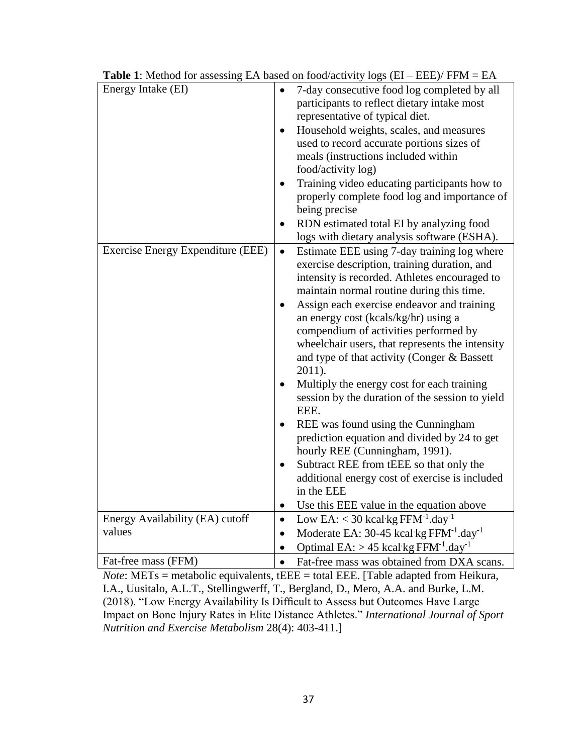| Energy Intake (EI)                |           | 7-day consecutive food log completed by all                                                                                                            |  |  |  |  |  |
|-----------------------------------|-----------|--------------------------------------------------------------------------------------------------------------------------------------------------------|--|--|--|--|--|
|                                   |           | participants to reflect dietary intake most<br>representative of typical diet.<br>Household weights, scales, and measures                              |  |  |  |  |  |
|                                   |           |                                                                                                                                                        |  |  |  |  |  |
|                                   |           | used to record accurate portions sizes of<br>meals (instructions included within<br>food/activity log)<br>Training video educating participants how to |  |  |  |  |  |
|                                   |           |                                                                                                                                                        |  |  |  |  |  |
|                                   |           |                                                                                                                                                        |  |  |  |  |  |
|                                   |           |                                                                                                                                                        |  |  |  |  |  |
|                                   |           | properly complete food log and importance of                                                                                                           |  |  |  |  |  |
|                                   |           | being precise                                                                                                                                          |  |  |  |  |  |
|                                   |           | RDN estimated total EI by analyzing food                                                                                                               |  |  |  |  |  |
|                                   |           | logs with dietary analysis software (ESHA).                                                                                                            |  |  |  |  |  |
| Exercise Energy Expenditure (EEE) | $\bullet$ | Estimate EEE using 7-day training log where                                                                                                            |  |  |  |  |  |
|                                   |           | exercise description, training duration, and                                                                                                           |  |  |  |  |  |
|                                   |           | intensity is recorded. Athletes encouraged to                                                                                                          |  |  |  |  |  |
|                                   |           | maintain normal routine during this time.                                                                                                              |  |  |  |  |  |
|                                   |           | Assign each exercise endeavor and training                                                                                                             |  |  |  |  |  |
|                                   |           | an energy cost (kcals/kg/hr) using a                                                                                                                   |  |  |  |  |  |
|                                   |           | compendium of activities performed by                                                                                                                  |  |  |  |  |  |
|                                   |           | wheelchair users, that represents the intensity                                                                                                        |  |  |  |  |  |
|                                   |           | and type of that activity (Conger & Bassett<br>$2011$ ).                                                                                               |  |  |  |  |  |
|                                   |           |                                                                                                                                                        |  |  |  |  |  |
|                                   |           | Multiply the energy cost for each training<br>session by the duration of the session to yield                                                          |  |  |  |  |  |
|                                   |           | EEE.                                                                                                                                                   |  |  |  |  |  |
|                                   |           | REE was found using the Cunningham                                                                                                                     |  |  |  |  |  |
|                                   |           | prediction equation and divided by 24 to get                                                                                                           |  |  |  |  |  |
|                                   |           | hourly REE (Cunningham, 1991).                                                                                                                         |  |  |  |  |  |
|                                   |           | Subtract REE from tEEE so that only the                                                                                                                |  |  |  |  |  |
|                                   |           | additional energy cost of exercise is included                                                                                                         |  |  |  |  |  |
|                                   |           | in the EEE                                                                                                                                             |  |  |  |  |  |
|                                   | $\bullet$ | Use this EEE value in the equation above                                                                                                               |  |  |  |  |  |
| Energy Availability (EA) cutoff   | $\bullet$ | Low EA: $<$ 30 kcal kg FFM <sup>-1</sup> .day <sup>-1</sup>                                                                                            |  |  |  |  |  |
| values                            | $\bullet$ | Moderate EA: $30-45$ kcal kg FFM $^{-1}$ .day $^{-1}$                                                                                                  |  |  |  |  |  |
|                                   | $\bullet$ | Optimal $EA$ : > 45 kcal kg $FFM^{-1}.day^{-1}$                                                                                                        |  |  |  |  |  |
| Fat-free mass (FFM)               |           | Fat-free mass was obtained from DXA scans.                                                                                                             |  |  |  |  |  |

**Table 1**: Method for assessing EA based on food/activity logs  $(EI - EEE)$ / FFM = EA

*Note*: METs = metabolic equivalents, tEEE = total EEE. [Table adapted from Heikura, I.A., Uusitalo, A.L.T., Stellingwerff, T., Bergland, D., Mero, A.A. and Burke, L.M. (2018). "Low Energy Availability Is Difficult to Assess but Outcomes Have Large Impact on Bone Injury Rates in Elite Distance Athletes." *International Journal of Sport Nutrition and Exercise Metabolism* 28(4): 403-411.]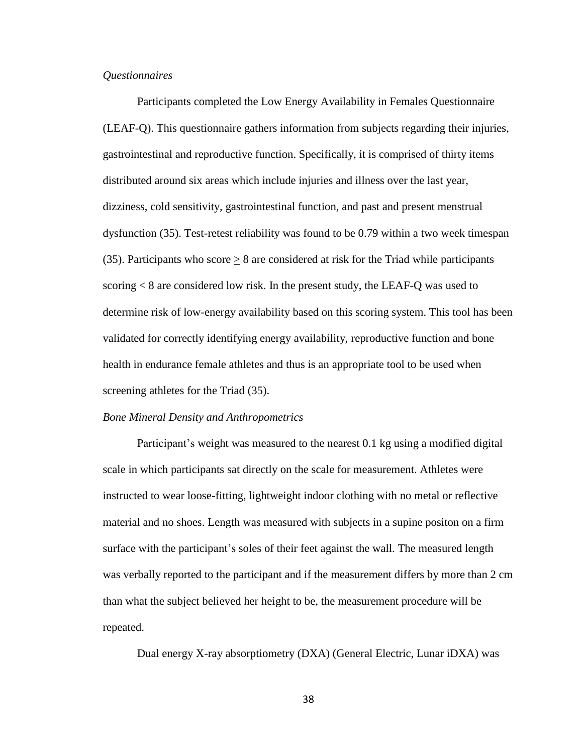## *Questionnaires*

Participants completed the Low Energy Availability in Females Questionnaire (LEAF-Q). This questionnaire gathers information from subjects regarding their injuries, gastrointestinal and reproductive function. Specifically, it is comprised of thirty items distributed around six areas which include injuries and illness over the last year, dizziness, cold sensitivity, gastrointestinal function, and past and present menstrual dysfunction (35). Test-retest reliability was found to be 0.79 within a two week timespan (35). Participants who score  $\geq 8$  are considered at risk for the Triad while participants scoring < 8 are considered low risk. In the present study, the LEAF-Q was used to determine risk of low-energy availability based on this scoring system. This tool has been validated for correctly identifying energy availability, reproductive function and bone health in endurance female athletes and thus is an appropriate tool to be used when screening athletes for the Triad (35).

### *Bone Mineral Density and Anthropometrics*

Participant's weight was measured to the nearest 0.1 kg using a modified digital scale in which participants sat directly on the scale for measurement. Athletes were instructed to wear loose-fitting, lightweight indoor clothing with no metal or reflective material and no shoes. Length was measured with subjects in a supine positon on a firm surface with the participant's soles of their feet against the wall. The measured length was verbally reported to the participant and if the measurement differs by more than 2 cm than what the subject believed her height to be, the measurement procedure will be repeated.

Dual energy X-ray absorptiometry (DXA) (General Electric, Lunar iDXA) was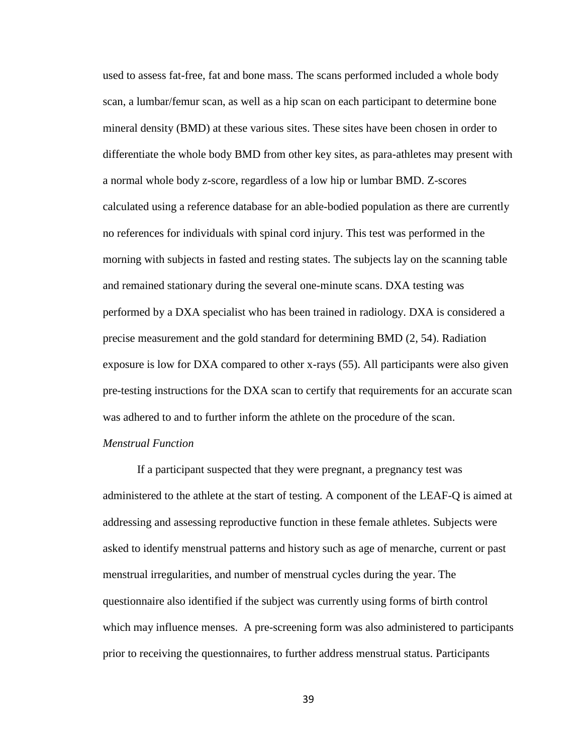used to assess fat-free, fat and bone mass. The scans performed included a whole body scan, a lumbar/femur scan, as well as a hip scan on each participant to determine bone mineral density (BMD) at these various sites. These sites have been chosen in order to differentiate the whole body BMD from other key sites, as para-athletes may present with a normal whole body z-score, regardless of a low hip or lumbar BMD. Z-scores calculated using a reference database for an able-bodied population as there are currently no references for individuals with spinal cord injury. This test was performed in the morning with subjects in fasted and resting states. The subjects lay on the scanning table and remained stationary during the several one-minute scans. DXA testing was performed by a DXA specialist who has been trained in radiology. DXA is considered a precise measurement and the gold standard for determining BMD (2, 54). Radiation exposure is low for DXA compared to other x-rays (55). All participants were also given pre-testing instructions for the DXA scan to certify that requirements for an accurate scan was adhered to and to further inform the athlete on the procedure of the scan.

# *Menstrual Function*

If a participant suspected that they were pregnant, a pregnancy test was administered to the athlete at the start of testing. A component of the LEAF-Q is aimed at addressing and assessing reproductive function in these female athletes. Subjects were asked to identify menstrual patterns and history such as age of menarche, current or past menstrual irregularities, and number of menstrual cycles during the year. The questionnaire also identified if the subject was currently using forms of birth control which may influence menses. A pre-screening form was also administered to participants prior to receiving the questionnaires, to further address menstrual status. Participants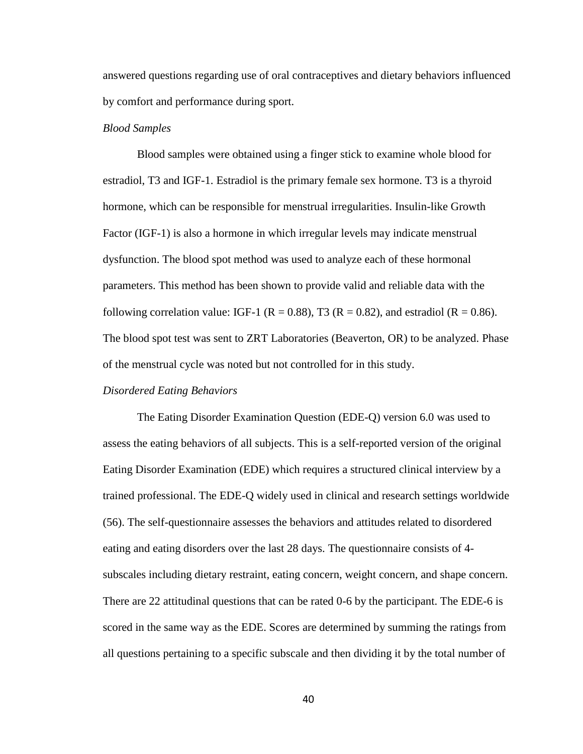answered questions regarding use of oral contraceptives and dietary behaviors influenced by comfort and performance during sport.

### *Blood Samples*

Blood samples were obtained using a finger stick to examine whole blood for estradiol, T3 and IGF-1. Estradiol is the primary female sex hormone. T3 is a thyroid hormone, which can be responsible for menstrual irregularities. Insulin-like Growth Factor (IGF-1) is also a hormone in which irregular levels may indicate menstrual dysfunction. The blood spot method was used to analyze each of these hormonal parameters. This method has been shown to provide valid and reliable data with the following correlation value: IGF-1 ( $R = 0.88$ ), T3 ( $R = 0.82$ ), and estradiol ( $R = 0.86$ ). The blood spot test was sent to ZRT Laboratories (Beaverton, OR) to be analyzed. Phase of the menstrual cycle was noted but not controlled for in this study.

#### *Disordered Eating Behaviors*

The Eating Disorder Examination Question (EDE-Q) version 6.0 was used to assess the eating behaviors of all subjects. This is a self-reported version of the original Eating Disorder Examination (EDE) which requires a structured clinical interview by a trained professional. The EDE-Q widely used in clinical and research settings worldwide (56). The self-questionnaire assesses the behaviors and attitudes related to disordered eating and eating disorders over the last 28 days. The questionnaire consists of 4 subscales including dietary restraint, eating concern, weight concern, and shape concern. There are 22 attitudinal questions that can be rated 0-6 by the participant. The EDE-6 is scored in the same way as the EDE. Scores are determined by summing the ratings from all questions pertaining to a specific subscale and then dividing it by the total number of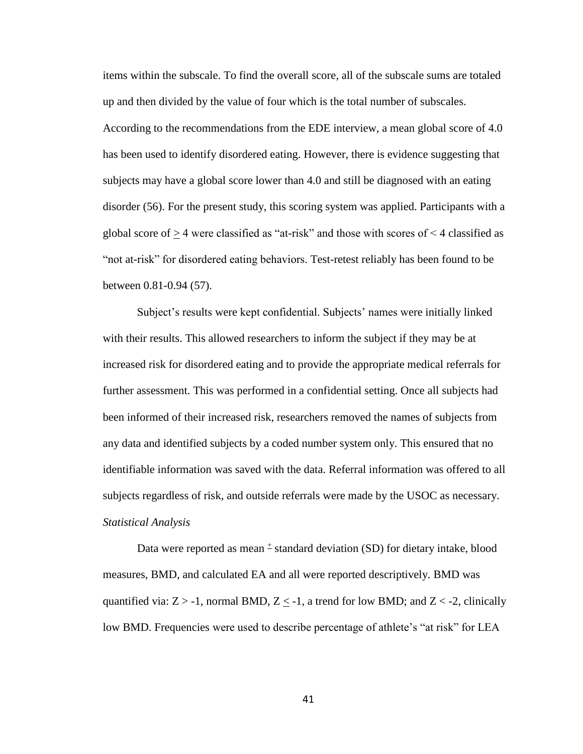items within the subscale. To find the overall score, all of the subscale sums are totaled up and then divided by the value of four which is the total number of subscales. According to the recommendations from the EDE interview, a mean global score of 4.0 has been used to identify disordered eating. However, there is evidence suggesting that subjects may have a global score lower than 4.0 and still be diagnosed with an eating disorder (56). For the present study, this scoring system was applied. Participants with a global score of  $> 4$  were classified as "at-risk" and those with scores of  $\leq 4$  classified as "not at-risk" for disordered eating behaviors. Test-retest reliably has been found to be between 0.81-0.94 (57).

Subject's results were kept confidential. Subjects' names were initially linked with their results. This allowed researchers to inform the subject if they may be at increased risk for disordered eating and to provide the appropriate medical referrals for further assessment. This was performed in a confidential setting. Once all subjects had been informed of their increased risk, researchers removed the names of subjects from any data and identified subjects by a coded number system only. This ensured that no identifiable information was saved with the data. Referral information was offered to all subjects regardless of risk, and outside referrals were made by the USOC as necessary. *Statistical Analysis*

Data were reported as mean  $\pm$  standard deviation (SD) for dietary intake, blood measures, BMD, and calculated EA and all were reported descriptively. BMD was quantified via:  $Z > -1$ , normal BMD,  $Z \le -1$ , a trend for low BMD; and  $Z < -2$ , clinically low BMD. Frequencies were used to describe percentage of athlete's "at risk" for LEA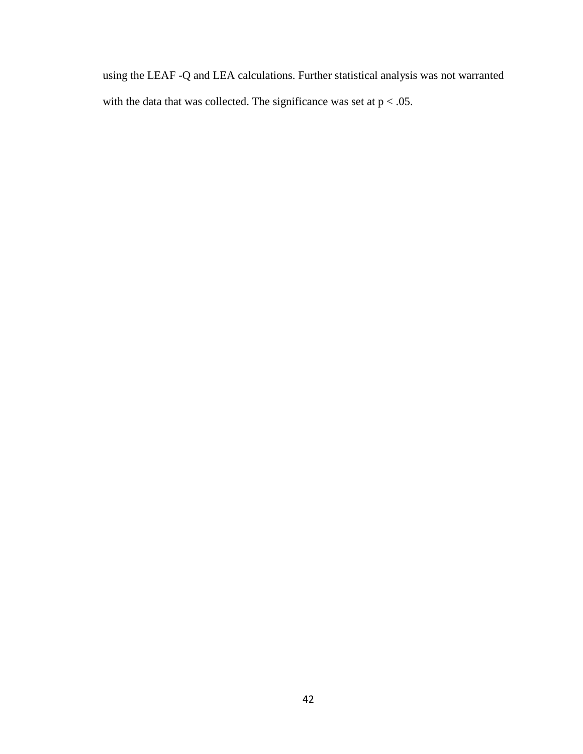using the LEAF -Q and LEA calculations. Further statistical analysis was not warranted with the data that was collected. The significance was set at  $p < .05$ .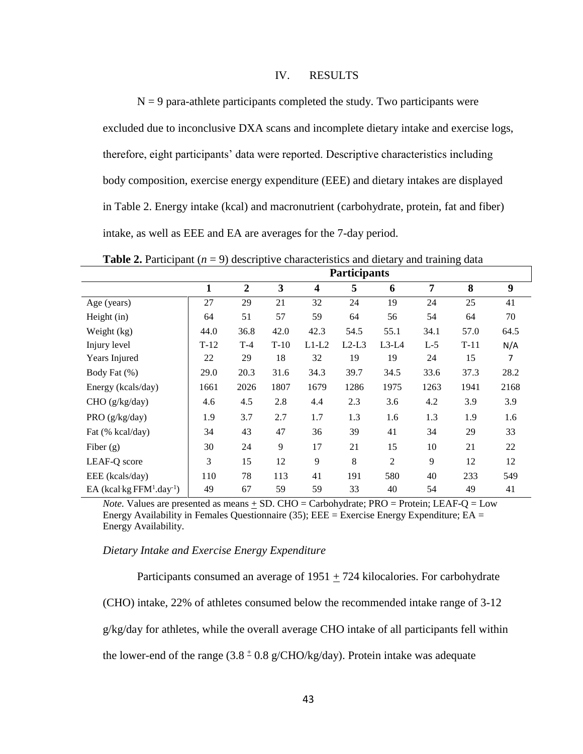# IV. RESULTS

 $N = 9$  para-athlete participants completed the study. Two participants were excluded due to inconclusive DXA scans and incomplete dietary intake and exercise logs, therefore, eight participants' data were reported. Descriptive characteristics including body composition, exercise energy expenditure (EEE) and dietary intakes are displayed in Table 2. Energy intake (kcal) and macronutrient (carbohydrate, protein, fat and fiber) intake, as well as EEE and EA are averages for the 7-day period.

**Participants 1 2 3 4 5 6 7 8 9** Age (years) 27 29 21 32 24 19 24 25 41 Height (in) 64 51 57 59 64 56 54 64 70 Weight (kg)  $\begin{array}{|l}\n44.0 \quad 36.8 \\
42.0 \quad 42.3 \\
55.1 \quad 34.1 \\
57.0 \quad 64.5\n\end{array}$ Injury level T-12 T-4 T-10 L1-L2 L2-L3 L3-L4 L-5 T-11 N/A Years Injured 22 29 18 32 19 19 24 15 7 Body Fat (%) 29.0 20.3 31.6 34.3 39.7 34.5 33.6 37.3 28.2 Energy (kcals/day) 1661 2026 1807 1679 1286 1975 1263 1941 2168 CHO (g/kg/day) 4.6 4.5 2.8 4.4 2.3 3.6 4.2 3.9 3.9 PRO (g/kg/day) 1.9 3.7 2.7 1.7 1.3 1.6 1.3 1.9 1.6 Fat (% kcal/day)  $\begin{array}{|c|c|c|c|c|c|} \hline 34 & 43 & 47 & 36 & 39 & 41 & 34 & 29 & 33 \ \hline \end{array}$ Fiber (g) 30 24 9 17 21 15 10 21 22 LEAF-Q score 3 15 12 9 8 2 9 12 12 EEE (kcals/day) 110 78 113 41 191 580 40 233 549  $EA$  (kcal·kg  $FFM<sup>1</sup>.day<sup>-1</sup>$ ) 49 67 59 59 33 40 54 49 41

**Table 2.** Participant  $(n = 9)$  descriptive characteristics and dietary and training data

*Note.* Values are presented as means + SD. CHO = Carbohydrate; PRO = Protein; LEAF-Q = Low Energy Availability in Females Questionnaire (35);  $EEE =$  Exercise Energy Expenditure;  $EA =$ Energy Availability.

### *Dietary Intake and Exercise Energy Expenditure*

Participants consumed an average of  $1951 + 724$  kilocalories. For carbohydrate (CHO) intake, 22% of athletes consumed below the recommended intake range of 3-12 g/kg/day for athletes, while the overall average CHO intake of all participants fell within the lower-end of the range  $(3.8 \pm 0.8 \text{ g/CHO/kg/day})$ . Protein intake was adequate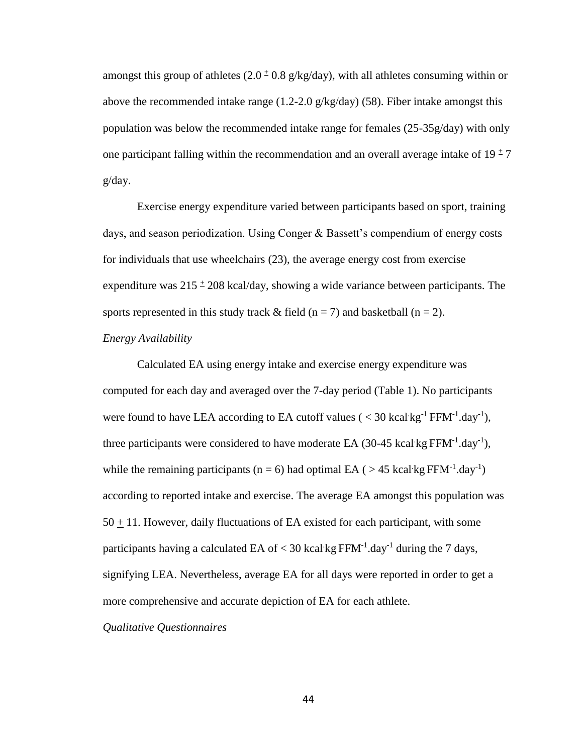amongst this group of athletes  $(2.0 \pm 0.8 \text{ g/kg/day})$ , with all athletes consuming within or above the recommended intake range  $(1.2{\text -}2.0 \text{ g/kg/day})$  (58). Fiber intake amongst this population was below the recommended intake range for females (25-35g/day) with only one participant falling within the recommendation and an overall average intake of  $19 \pm 7$ g/day.

Exercise energy expenditure varied between participants based on sport, training days, and season periodization. Using Conger & Bassett's compendium of energy costs for individuals that use wheelchairs (23), the average energy cost from exercise expenditure was  $215 \pm 208$  kcal/day, showing a wide variance between participants. The sports represented in this study track  $&$  field (n = 7) and basketball (n = 2).

# *Energy Availability*

Calculated EA using energy intake and exercise energy expenditure was computed for each day and averaged over the 7-day period (Table 1). No participants were found to have LEA according to EA cutoff values ( $\langle 30 \text{ kcal} \cdot \text{kg}^{-1} \text{ FFM}^{-1} \text{.day}^{-1} \rangle$ , three participants were considered to have moderate EA (30-45 kcal kg  $FFM^{-1}.day^{-1}$ ), while the remaining participants ( $n = 6$ ) had optimal EA ( $> 45$  kcal·kg FFM<sup>-1</sup>.day<sup>-1</sup>) according to reported intake and exercise. The average EA amongst this population was  $50 \pm 11$ . However, daily fluctuations of EA existed for each participant, with some participants having a calculated EA of  $<$  30 kcal kg FFM<sup>-1</sup>.day<sup>-1</sup> during the 7 days, signifying LEA. Nevertheless, average EA for all days were reported in order to get a more comprehensive and accurate depiction of EA for each athlete.

# *Qualitative Questionnaires*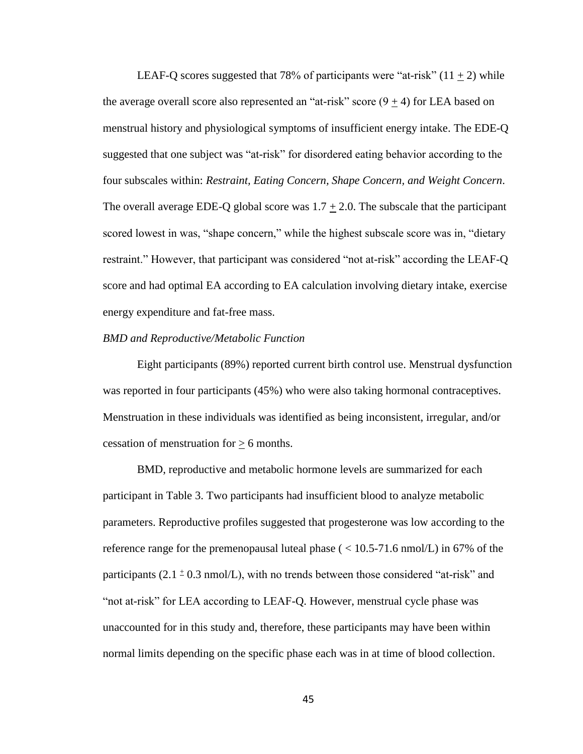LEAF-Q scores suggested that 78% of participants were "at-risk"  $(11 + 2)$  while the average overall score also represented an "at-risk" score  $(9 + 4)$  for LEA based on menstrual history and physiological symptoms of insufficient energy intake. The EDE-Q suggested that one subject was "at-risk" for disordered eating behavior according to the four subscales within: *Restraint, Eating Concern, Shape Concern, and Weight Concern*. The overall average EDE-Q global score was  $1.7 \pm 2.0$ . The subscale that the participant scored lowest in was, "shape concern," while the highest subscale score was in, "dietary restraint." However, that participant was considered "not at-risk" according the LEAF-Q score and had optimal EA according to EA calculation involving dietary intake, exercise energy expenditure and fat-free mass.

#### *BMD and Reproductive/Metabolic Function*

Eight participants (89%) reported current birth control use. Menstrual dysfunction was reported in four participants (45%) who were also taking hormonal contraceptives. Menstruation in these individuals was identified as being inconsistent, irregular, and/or cessation of menstruation for  $\geq 6$  months.

BMD, reproductive and metabolic hormone levels are summarized for each participant in Table 3. Two participants had insufficient blood to analyze metabolic parameters. Reproductive profiles suggested that progesterone was low according to the reference range for the premenopausal luteal phase ( $\langle 10.5-71.6 \text{ nmol/L} \rangle$  in 67% of the participants  $(2.1 \pm 0.3 \text{ nmol/L})$ , with no trends between those considered "at-risk" and "not at-risk" for LEA according to LEAF-Q. However, menstrual cycle phase was unaccounted for in this study and, therefore, these participants may have been within normal limits depending on the specific phase each was in at time of blood collection.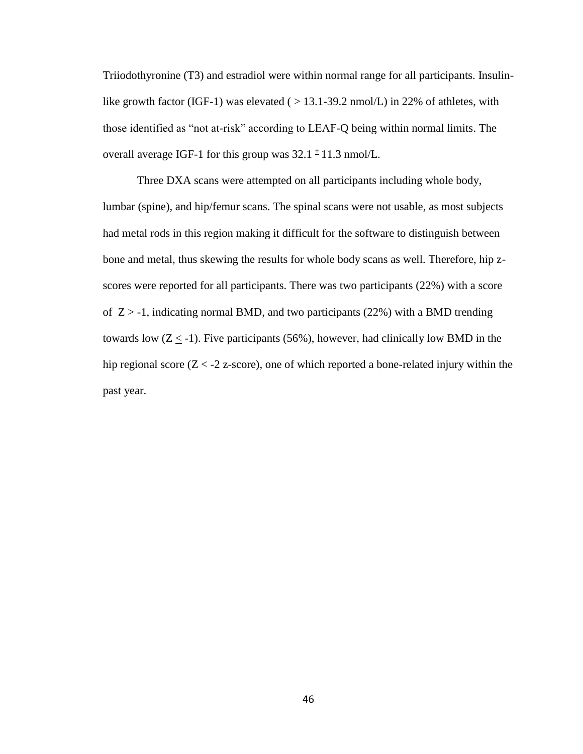Triiodothyronine (T3) and estradiol were within normal range for all participants. Insulinlike growth factor (IGF-1) was elevated ( $> 13.1$ -39.2 nmol/L) in 22% of athletes, with those identified as "not at-risk" according to LEAF-Q being within normal limits. The overall average IGF-1 for this group was  $32.1 \pm 11.3$  nmol/L.

Three DXA scans were attempted on all participants including whole body, lumbar (spine), and hip/femur scans. The spinal scans were not usable, as most subjects had metal rods in this region making it difficult for the software to distinguish between bone and metal, thus skewing the results for whole body scans as well. Therefore, hip zscores were reported for all participants. There was two participants (22%) with a score of  $Z > -1$ , indicating normal BMD, and two participants (22%) with a BMD trending towards low  $(Z \le -1)$ . Five participants (56%), however, had clinically low BMD in the hip regional score  $(Z < -2 z$ -score), one of which reported a bone-related injury within the past year.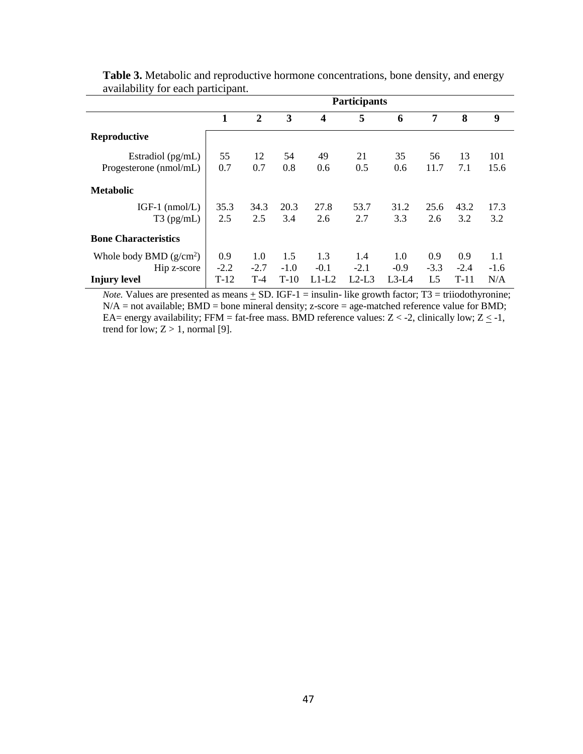| avanability for each participant. |                     |                |        |         |         |         |                |        |        |  |  |
|-----------------------------------|---------------------|----------------|--------|---------|---------|---------|----------------|--------|--------|--|--|
|                                   | <b>Participants</b> |                |        |         |         |         |                |        |        |  |  |
|                                   | 1                   | $\overline{2}$ | 3      | 4       | 5       | 6       | 7              | 8      | 9      |  |  |
| Reproductive                      |                     |                |        |         |         |         |                |        |        |  |  |
| Estradiol $(pg/mL)$               | 55                  | 12             | 54     | 49      | 21      | 35      | 56             | 13     | 101    |  |  |
| Progesterone (nmol/mL)            | 0.7                 | 0.7            | 0.8    | 0.6     | 0.5     | 0.6     | 11.7           | 7.1    | 15.6   |  |  |
| <b>Metabolic</b>                  |                     |                |        |         |         |         |                |        |        |  |  |
| IGF-1 $(nmol/L)$                  | 35.3                | 34.3           | 20.3   | 27.8    | 53.7    | 31.2    | 25.6           | 43.2   | 17.3   |  |  |
| $T3$ (pg/mL)                      | 2.5                 | 2.5            | 3.4    | 2.6     | 2.7     | 3.3     | 2.6            | 3.2    | 3.2    |  |  |
| <b>Bone Characteristics</b>       |                     |                |        |         |         |         |                |        |        |  |  |
| Whole body BMD $(g/cm^2)$         | 0.9                 | 1.0            | 1.5    | 1.3     | 1.4     | 1.0     | 0.9            | 0.9    | 1.1    |  |  |
| Hip z-score                       | $-2.2$              | $-2.7$         | $-1.0$ | $-0.1$  | $-2.1$  | $-0.9$  | $-3.3$         | $-2.4$ | $-1.6$ |  |  |
| <b>Injury level</b>               | $T-12$              | $T-4$          | $T-10$ | $L1-L2$ | $L2-L3$ | $L3-L4$ | L <sub>5</sub> | $T-11$ | N/A    |  |  |

**Table 3.** Metabolic and reproductive hormone concentrations, bone density, and energy availability for each participant.

*Note.* Values are presented as means  $\pm$  SD. IGF-1 = insulin- like growth factor; T3 = triiodothyronine;  $N/A$  = not available; BMD = bone mineral density; z-score = age-matched reference value for BMD; EA= energy availability; FFM = fat-free mass. BMD reference values:  $Z < -2$ , clinically low;  $Z \le -1$ , trend for low;  $Z > 1$ , normal [9].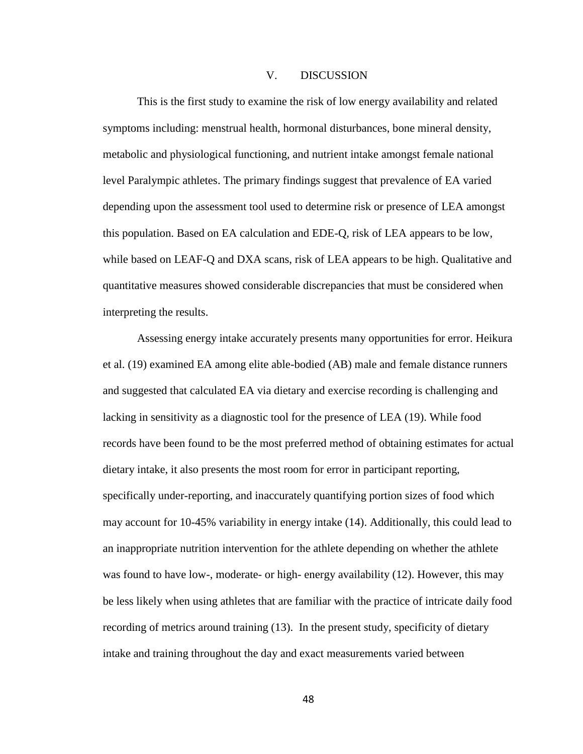# V. DISCUSSION

This is the first study to examine the risk of low energy availability and related symptoms including: menstrual health, hormonal disturbances, bone mineral density, metabolic and physiological functioning, and nutrient intake amongst female national level Paralympic athletes. The primary findings suggest that prevalence of EA varied depending upon the assessment tool used to determine risk or presence of LEA amongst this population. Based on EA calculation and EDE-Q, risk of LEA appears to be low, while based on LEAF-Q and DXA scans, risk of LEA appears to be high. Qualitative and quantitative measures showed considerable discrepancies that must be considered when interpreting the results.

Assessing energy intake accurately presents many opportunities for error. Heikura et al. (19) examined EA among elite able-bodied (AB) male and female distance runners and suggested that calculated EA via dietary and exercise recording is challenging and lacking in sensitivity as a diagnostic tool for the presence of LEA (19). While food records have been found to be the most preferred method of obtaining estimates for actual dietary intake, it also presents the most room for error in participant reporting, specifically under-reporting, and inaccurately quantifying portion sizes of food which may account for 10-45% variability in energy intake (14). Additionally, this could lead to an inappropriate nutrition intervention for the athlete depending on whether the athlete was found to have low-, moderate- or high- energy availability (12). However, this may be less likely when using athletes that are familiar with the practice of intricate daily food recording of metrics around training (13). In the present study, specificity of dietary intake and training throughout the day and exact measurements varied between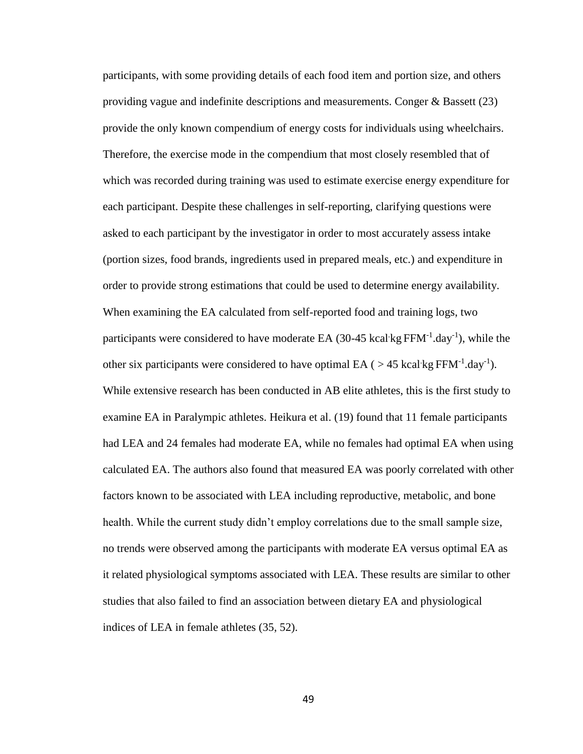participants, with some providing details of each food item and portion size, and others providing vague and indefinite descriptions and measurements. Conger & Bassett (23) provide the only known compendium of energy costs for individuals using wheelchairs. Therefore, the exercise mode in the compendium that most closely resembled that of which was recorded during training was used to estimate exercise energy expenditure for each participant. Despite these challenges in self-reporting, clarifying questions were asked to each participant by the investigator in order to most accurately assess intake (portion sizes, food brands, ingredients used in prepared meals, etc.) and expenditure in order to provide strong estimations that could be used to determine energy availability. When examining the EA calculated from self-reported food and training logs, two participants were considered to have moderate EA  $(30-45 \text{ kcal/kg FFM}^{-1} \text{.day}^{-1})$ , while the other six participants were considered to have optimal EA ( $>$  45 kcal·kg FFM<sup>-1</sup>.day<sup>-1</sup>). While extensive research has been conducted in AB elite athletes, this is the first study to examine EA in Paralympic athletes. Heikura et al. (19) found that 11 female participants had LEA and 24 females had moderate EA, while no females had optimal EA when using calculated EA. The authors also found that measured EA was poorly correlated with other factors known to be associated with LEA including reproductive, metabolic, and bone health. While the current study didn't employ correlations due to the small sample size, no trends were observed among the participants with moderate EA versus optimal EA as it related physiological symptoms associated with LEA. These results are similar to other studies that also failed to find an association between dietary EA and physiological indices of LEA in female athletes (35, 52).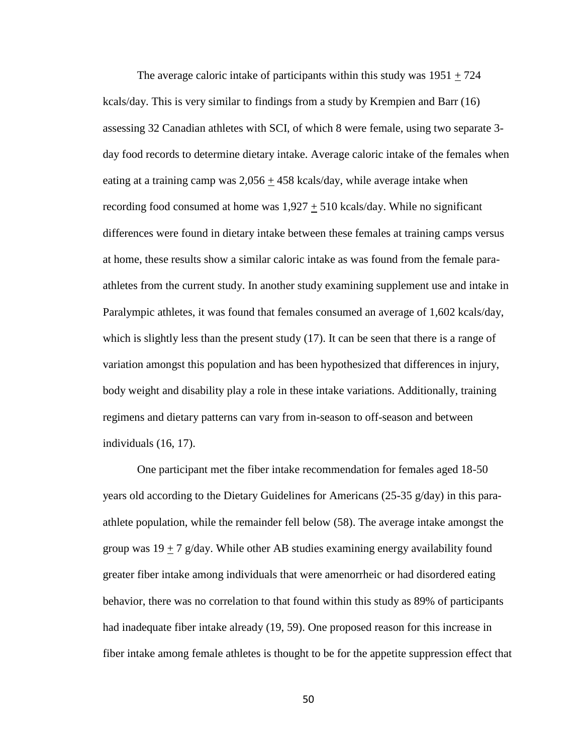The average caloric intake of participants within this study was  $1951 + 724$ kcals/day. This is very similar to findings from a study by Krempien and Barr (16) assessing 32 Canadian athletes with SCI, of which 8 were female, using two separate 3 day food records to determine dietary intake. Average caloric intake of the females when eating at a training camp was 2,056 + 458 kcals/day, while average intake when recording food consumed at home was  $1,927 + 510$  kcals/day. While no significant differences were found in dietary intake between these females at training camps versus at home, these results show a similar caloric intake as was found from the female paraathletes from the current study. In another study examining supplement use and intake in Paralympic athletes, it was found that females consumed an average of 1,602 kcals/day, which is slightly less than the present study (17). It can be seen that there is a range of variation amongst this population and has been hypothesized that differences in injury, body weight and disability play a role in these intake variations. Additionally, training regimens and dietary patterns can vary from in-season to off-season and between individuals (16, 17).

One participant met the fiber intake recommendation for females aged 18-50 years old according to the Dietary Guidelines for Americans (25-35 g/day) in this paraathlete population, while the remainder fell below (58). The average intake amongst the group was  $19 + 7$  g/day. While other AB studies examining energy availability found greater fiber intake among individuals that were amenorrheic or had disordered eating behavior, there was no correlation to that found within this study as 89% of participants had inadequate fiber intake already (19, 59). One proposed reason for this increase in fiber intake among female athletes is thought to be for the appetite suppression effect that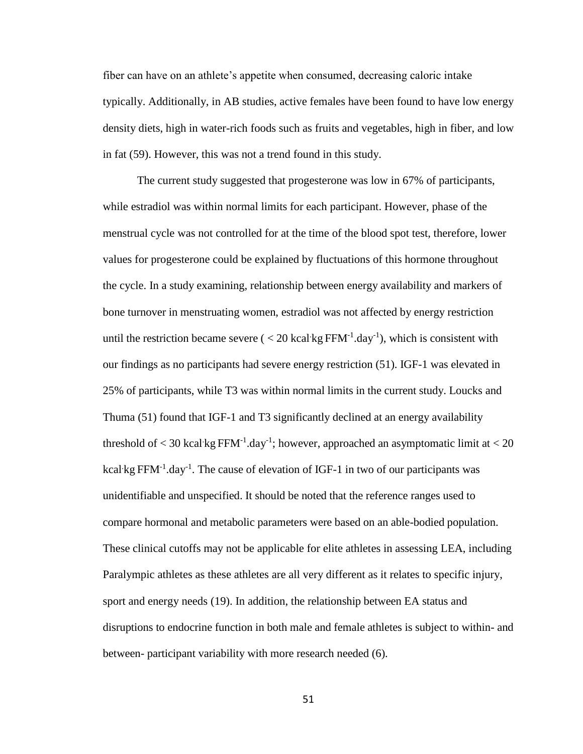fiber can have on an athlete's appetite when consumed, decreasing caloric intake typically. Additionally, in AB studies, active females have been found to have low energy density diets, high in water-rich foods such as fruits and vegetables, high in fiber, and low in fat (59). However, this was not a trend found in this study.

The current study suggested that progesterone was low in 67% of participants, while estradiol was within normal limits for each participant. However, phase of the menstrual cycle was not controlled for at the time of the blood spot test, therefore, lower values for progesterone could be explained by fluctuations of this hormone throughout the cycle. In a study examining, relationship between energy availability and markers of bone turnover in menstruating women, estradiol was not affected by energy restriction until the restriction became severe  $(< 20 \text{ kcal/kg FFM}^{-1}$ .day<sup>-1</sup>), which is consistent with our findings as no participants had severe energy restriction (51). IGF-1 was elevated in 25% of participants, while T3 was within normal limits in the current study. Loucks and Thuma (51) found that IGF-1 and T3 significantly declined at an energy availability threshold of  $<$  30 kcal kg FFM<sup>-1</sup>.day<sup>-1</sup>; however, approached an asymptomatic limit at  $<$  20 kcal kg FFM $^{-1}$ .day $^{-1}$ . The cause of elevation of IGF-1 in two of our participants was unidentifiable and unspecified. It should be noted that the reference ranges used to compare hormonal and metabolic parameters were based on an able-bodied population. These clinical cutoffs may not be applicable for elite athletes in assessing LEA, including Paralympic athletes as these athletes are all very different as it relates to specific injury, sport and energy needs (19). In addition, the relationship between EA status and disruptions to endocrine function in both male and female athletes is subject to within- and between- participant variability with more research needed (6).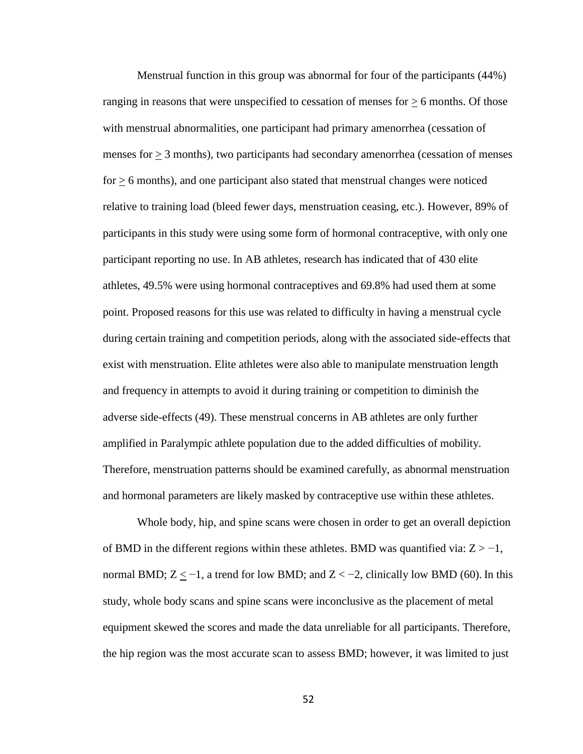Menstrual function in this group was abnormal for four of the participants (44%) ranging in reasons that were unspecified to cessation of menses for  $\geq 6$  months. Of those with menstrual abnormalities, one participant had primary amenorrhea (cessation of menses for  $\geq$  3 months), two participants had secondary amenorrhea (cessation of menses  $for \geq 6$  months), and one participant also stated that menstrual changes were noticed relative to training load (bleed fewer days, menstruation ceasing, etc.). However, 89% of participants in this study were using some form of hormonal contraceptive, with only one participant reporting no use. In AB athletes, research has indicated that of 430 elite athletes, 49.5% were using hormonal contraceptives and 69.8% had used them at some point. Proposed reasons for this use was related to difficulty in having a menstrual cycle during certain training and competition periods, along with the associated side-effects that exist with menstruation. Elite athletes were also able to manipulate menstruation length and frequency in attempts to avoid it during training or competition to diminish the adverse side-effects (49). These menstrual concerns in AB athletes are only further amplified in Paralympic athlete population due to the added difficulties of mobility. Therefore, menstruation patterns should be examined carefully, as abnormal menstruation and hormonal parameters are likely masked by contraceptive use within these athletes.

Whole body, hip, and spine scans were chosen in order to get an overall depiction of BMD in the different regions within these athletes. BMD was quantified via:  $Z > -1$ , normal BMD;  $Z \le -1$ , a trend for low BMD; and  $Z \lt -2$ , clinically low BMD (60). In this study, whole body scans and spine scans were inconclusive as the placement of metal equipment skewed the scores and made the data unreliable for all participants. Therefore, the hip region was the most accurate scan to assess BMD; however, it was limited to just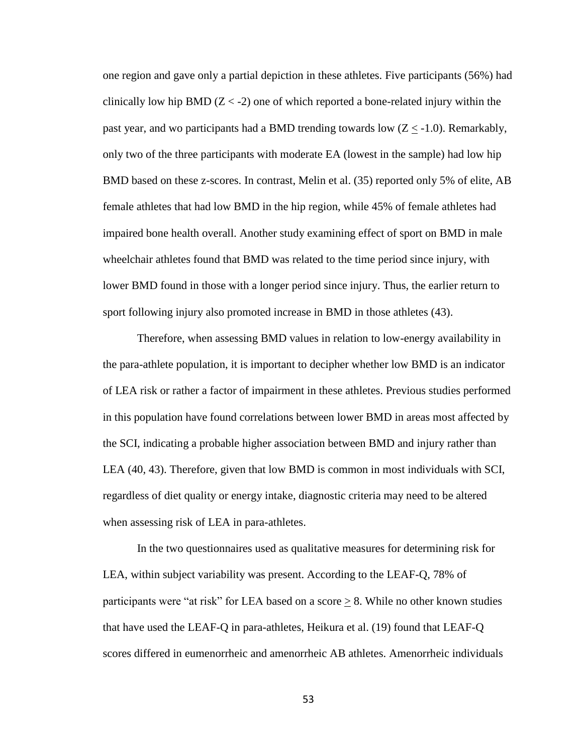one region and gave only a partial depiction in these athletes. Five participants (56%) had clinically low hip BMD  $(Z < -2)$  one of which reported a bone-related injury within the past year, and wo participants had a BMD trending towards low  $(Z \le -1.0)$ . Remarkably, only two of the three participants with moderate EA (lowest in the sample) had low hip BMD based on these z-scores. In contrast, Melin et al. (35) reported only 5% of elite, AB female athletes that had low BMD in the hip region, while 45% of female athletes had impaired bone health overall. Another study examining effect of sport on BMD in male wheelchair athletes found that BMD was related to the time period since injury, with lower BMD found in those with a longer period since injury. Thus, the earlier return to sport following injury also promoted increase in BMD in those athletes (43).

Therefore, when assessing BMD values in relation to low-energy availability in the para-athlete population, it is important to decipher whether low BMD is an indicator of LEA risk or rather a factor of impairment in these athletes. Previous studies performed in this population have found correlations between lower BMD in areas most affected by the SCI, indicating a probable higher association between BMD and injury rather than LEA (40, 43). Therefore, given that low BMD is common in most individuals with SCI, regardless of diet quality or energy intake, diagnostic criteria may need to be altered when assessing risk of LEA in para-athletes.

In the two questionnaires used as qualitative measures for determining risk for LEA, within subject variability was present. According to the LEAF-Q, 78% of participants were "at risk" for LEA based on a score  $\geq 8$ . While no other known studies that have used the LEAF-Q in para-athletes, Heikura et al. (19) found that LEAF-Q scores differed in eumenorrheic and amenorrheic AB athletes. Amenorrheic individuals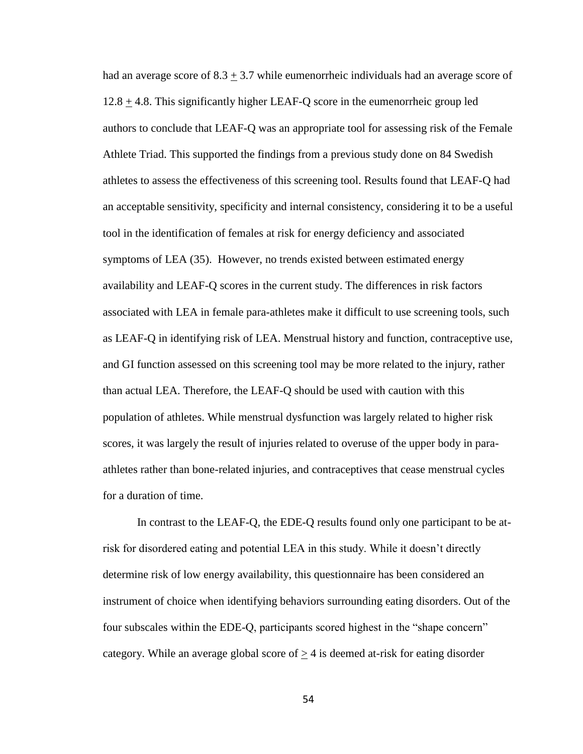had an average score of  $8.3 \pm 3.7$  while eumenorrheic individuals had an average score of 12.8 + 4.8. This significantly higher LEAF-Q score in the eumenorrheic group led authors to conclude that LEAF-Q was an appropriate tool for assessing risk of the Female Athlete Triad. This supported the findings from a previous study done on 84 Swedish athletes to assess the effectiveness of this screening tool. Results found that LEAF-Q had an acceptable sensitivity, specificity and internal consistency, considering it to be a useful tool in the identification of females at risk for energy deficiency and associated symptoms of LEA (35). However, no trends existed between estimated energy availability and LEAF-Q scores in the current study. The differences in risk factors associated with LEA in female para-athletes make it difficult to use screening tools, such as LEAF-Q in identifying risk of LEA. Menstrual history and function, contraceptive use, and GI function assessed on this screening tool may be more related to the injury, rather than actual LEA. Therefore, the LEAF-Q should be used with caution with this population of athletes. While menstrual dysfunction was largely related to higher risk scores, it was largely the result of injuries related to overuse of the upper body in paraathletes rather than bone-related injuries, and contraceptives that cease menstrual cycles for a duration of time.

In contrast to the LEAF-Q, the EDE-Q results found only one participant to be atrisk for disordered eating and potential LEA in this study. While it doesn't directly determine risk of low energy availability, this questionnaire has been considered an instrument of choice when identifying behaviors surrounding eating disorders. Out of the four subscales within the EDE-Q, participants scored highest in the "shape concern" category. While an average global score of  $\geq$  4 is deemed at-risk for eating disorder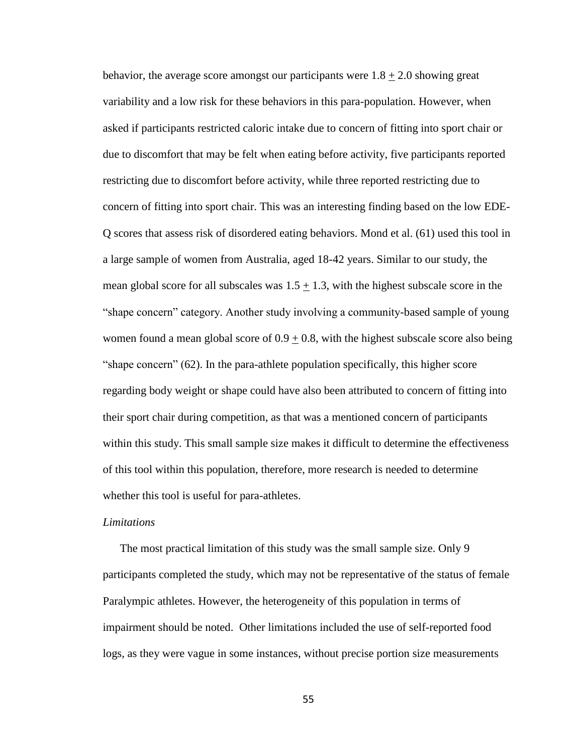behavior, the average score amongst our participants were  $1.8 \pm 2.0$  showing great variability and a low risk for these behaviors in this para-population. However, when asked if participants restricted caloric intake due to concern of fitting into sport chair or due to discomfort that may be felt when eating before activity, five participants reported restricting due to discomfort before activity, while three reported restricting due to concern of fitting into sport chair. This was an interesting finding based on the low EDE-Q scores that assess risk of disordered eating behaviors. Mond et al. (61) used this tool in a large sample of women from Australia, aged 18-42 years. Similar to our study, the mean global score for all subscales was  $1.5 \pm 1.3$ , with the highest subscale score in the "shape concern" category. Another study involving a community-based sample of young women found a mean global score of  $0.9 \pm 0.8$ , with the highest subscale score also being "shape concern" (62). In the para-athlete population specifically, this higher score regarding body weight or shape could have also been attributed to concern of fitting into their sport chair during competition, as that was a mentioned concern of participants within this study. This small sample size makes it difficult to determine the effectiveness of this tool within this population, therefore, more research is needed to determine whether this tool is useful for para-athletes.

#### *Limitations*

The most practical limitation of this study was the small sample size. Only 9 participants completed the study, which may not be representative of the status of female Paralympic athletes. However, the heterogeneity of this population in terms of impairment should be noted. Other limitations included the use of self-reported food logs, as they were vague in some instances, without precise portion size measurements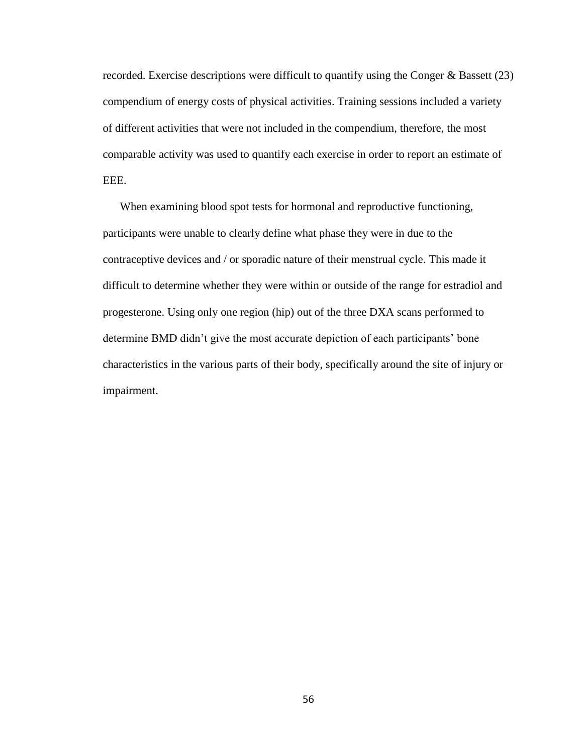recorded. Exercise descriptions were difficult to quantify using the Conger & Bassett (23) compendium of energy costs of physical activities. Training sessions included a variety of different activities that were not included in the compendium, therefore, the most comparable activity was used to quantify each exercise in order to report an estimate of EEE.

When examining blood spot tests for hormonal and reproductive functioning, participants were unable to clearly define what phase they were in due to the contraceptive devices and / or sporadic nature of their menstrual cycle. This made it difficult to determine whether they were within or outside of the range for estradiol and progesterone. Using only one region (hip) out of the three DXA scans performed to determine BMD didn't give the most accurate depiction of each participants' bone characteristics in the various parts of their body, specifically around the site of injury or impairment.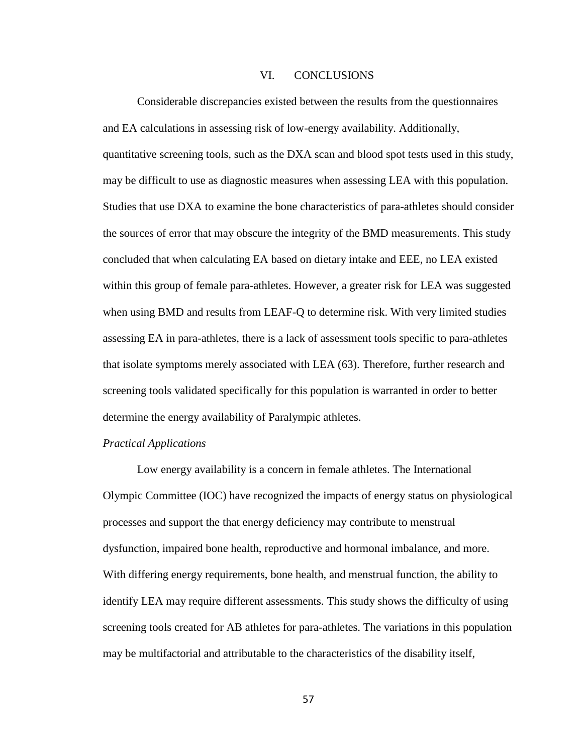### VI. CONCLUSIONS

Considerable discrepancies existed between the results from the questionnaires and EA calculations in assessing risk of low-energy availability. Additionally, quantitative screening tools, such as the DXA scan and blood spot tests used in this study, may be difficult to use as diagnostic measures when assessing LEA with this population. Studies that use DXA to examine the bone characteristics of para-athletes should consider the sources of error that may obscure the integrity of the BMD measurements. This study concluded that when calculating EA based on dietary intake and EEE, no LEA existed within this group of female para-athletes. However, a greater risk for LEA was suggested when using BMD and results from LEAF-Q to determine risk. With very limited studies assessing EA in para-athletes, there is a lack of assessment tools specific to para-athletes that isolate symptoms merely associated with LEA (63). Therefore, further research and screening tools validated specifically for this population is warranted in order to better determine the energy availability of Paralympic athletes.

#### *Practical Applications*

Low energy availability is a concern in female athletes. The International Olympic Committee (IOC) have recognized the impacts of energy status on physiological processes and support the that energy deficiency may contribute to menstrual dysfunction, impaired bone health, reproductive and hormonal imbalance, and more. With differing energy requirements, bone health, and menstrual function, the ability to identify LEA may require different assessments. This study shows the difficulty of using screening tools created for AB athletes for para-athletes. The variations in this population may be multifactorial and attributable to the characteristics of the disability itself,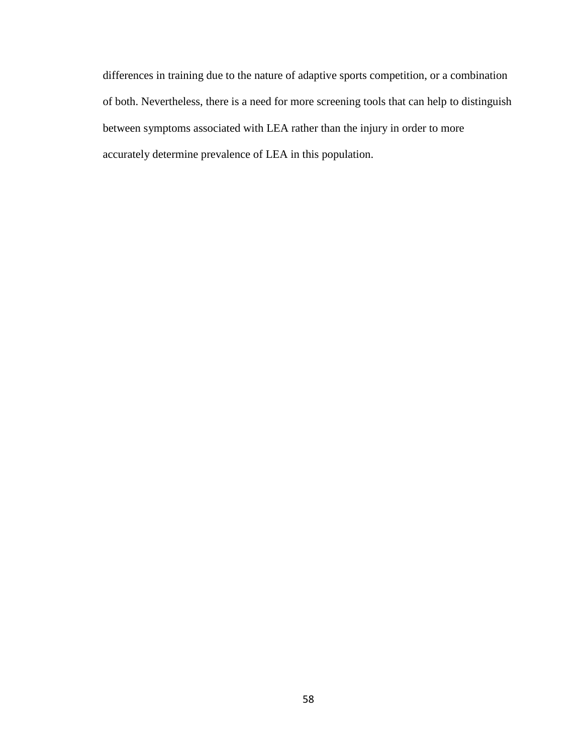differences in training due to the nature of adaptive sports competition, or a combination of both. Nevertheless, there is a need for more screening tools that can help to distinguish between symptoms associated with LEA rather than the injury in order to more accurately determine prevalence of LEA in this population.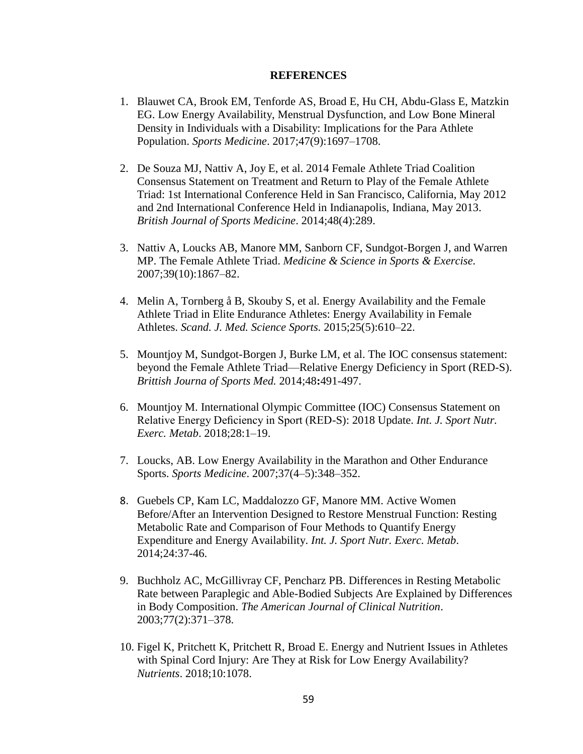### **REFERENCES**

- 1. Blauwet CA, Brook EM, Tenforde AS, Broad E, Hu CH, Abdu-Glass E, Matzkin EG. Low Energy Availability, Menstrual Dysfunction, and Low Bone Mineral Density in Individuals with a Disability: Implications for the Para Athlete Population. *Sports Medicine*. 2017;47(9):1697–1708.
- 2. De Souza MJ, Nattiv A, Joy E, et al. 2014 Female Athlete Triad Coalition Consensus Statement on Treatment and Return to Play of the Female Athlete Triad: 1st International Conference Held in San Francisco, California, May 2012 and 2nd International Conference Held in Indianapolis, Indiana, May 2013. *British Journal of Sports Medicine*. 2014;48(4):289.
- 3. Nattiv A, Loucks AB, Manore MM, Sanborn CF, Sundgot-Borgen J, and Warren MP. The Female Athlete Triad. *Medicine & Science in Sports & Exercise.* 2007;39(10):1867–82.
- 4. Melin A, Tornberg å B, Skouby S, et al. Energy Availability and the Female Athlete Triad in Elite Endurance Athletes: Energy Availability in Female Athletes. *Scand. J. Med. Science Sports.* 2015;25(5):610–22.
- 5. Mountjoy M, Sundgot-Borgen J, Burke LM*,* et al. The IOC consensus statement: beyond the Female Athlete Triad—Relative Energy Deficiency in Sport (RED-S). *Brittish Journa of Sports Med.* 2014;48**:**491-497.
- 6. Mountjoy M. International Olympic Committee (IOC) Consensus Statement on Relative Energy Deficiency in Sport (RED-S): 2018 Update. *Int. J. Sport Nutr. Exerc. Metab*. 2018;28:1–19.
- 7. Loucks, AB. Low Energy Availability in the Marathon and Other Endurance Sports. *Sports Medicine*. 2007;37(4–5):348–352.
- 8. Guebels CP, Kam LC, Maddalozzo GF, Manore MM. Active Women Before/After an Intervention Designed to Restore Menstrual Function: Resting Metabolic Rate and Comparison of Four Methods to Quantify Energy Expenditure and Energy Availability. *Int. J. Sport Nutr. Exerc. Metab*. 2014;24:37-46.
- 9. Buchholz AC, McGillivray CF, Pencharz PB. Differences in Resting Metabolic Rate between Paraplegic and Able-Bodied Subjects Are Explained by Differences in Body Composition. *The American Journal of Clinical Nutrition*. 2003;77(2):371–378.
- 10. Figel K, Pritchett K, Pritchett R, Broad E. Energy and Nutrient Issues in Athletes with Spinal Cord Injury: Are They at Risk for Low Energy Availability? *Nutrients*. 2018;10:1078.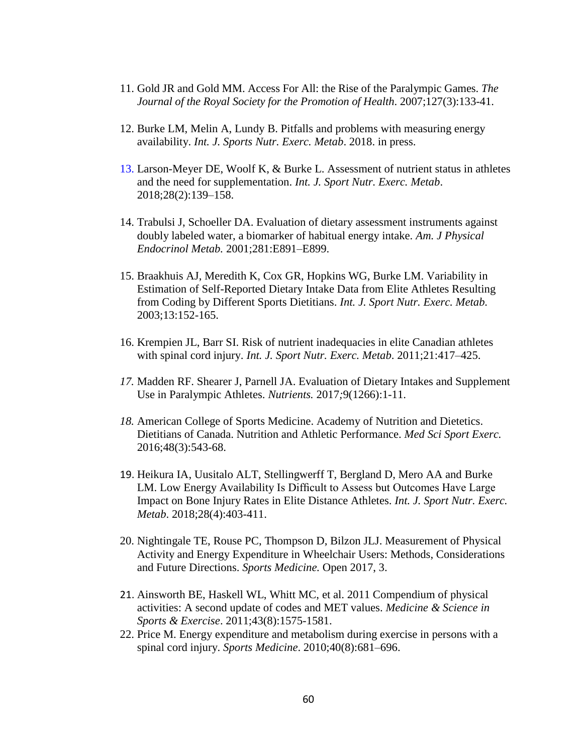- 11. Gold JR and Gold MM. Access For All: the Rise of the Paralympic Games. *The Journal of the Royal Society for the Promotion of Health*. 2007;127(3):133-41.
- 12. Burke LM, Melin A, Lundy B. Pitfalls and problems with measuring energy availability. *Int. J. Sports Nutr. Exerc. Metab*. 2018. in press.
- 13. Larson-Meyer DE, Woolf K, & Burke L. Assessment of nutrient status in athletes and the need for supplementation. *Int. J. Sport Nutr. Exerc. Metab*. 2018;28(2):139–158.
- 14. Trabulsi J, Schoeller DA. Evaluation of dietary assessment instruments against doubly labeled water, a biomarker of habitual energy intake*. Am. J Physical Endocrinol Metab.* 2001;281:E891–E899.
- 15. Braakhuis AJ, Meredith K, Cox GR, Hopkins WG, Burke LM. Variability in Estimation of Self-Reported Dietary Intake Data from Elite Athletes Resulting from Coding by Different Sports Dietitians. *Int. J. Sport Nutr. Exerc. Metab.*  2003;13:152-165.
- 16. Krempien JL, Barr SI. Risk of nutrient inadequacies in elite Canadian athletes with spinal cord injury. *Int. J. Sport Nutr. Exerc. Metab*. 2011;21:417–425.
- *17.* Madden RF. Shearer J, Parnell JA. Evaluation of Dietary Intakes and Supplement Use in Paralympic Athletes. *Nutrients.* 2017*;*9(1266):1-11.
- *18.* American College of Sports Medicine. Academy of Nutrition and Dietetics. Dietitians of Canada. Nutrition and Athletic Performance. *Med Sci Sport Exerc.* 2016;48(3):543-68.
- 19. Heikura IA, Uusitalo ALT, Stellingwerff T, Bergland D, Mero AA and Burke LM. Low Energy Availability Is Difficult to Assess but Outcomes Have Large Impact on Bone Injury Rates in Elite Distance Athletes. *Int. J. Sport Nutr. Exerc. Metab*. 2018;28(4):403-411.
- 20. Nightingale TE, Rouse PC, Thompson D, Bilzon JLJ. Measurement of Physical Activity and Energy Expenditure in Wheelchair Users: Methods, Considerations and Future Directions. *Sports Medicine.* Open 2017, 3.
- 21. Ainsworth BE, Haskell WL, Whitt MC, et al. 2011 Compendium of physical activities: A second update of codes and MET values. *Medicine & Science in Sports & Exercise*. 2011;43(8):1575-1581.
- 22. Price M. Energy expenditure and metabolism during exercise in persons with a spinal cord injury. *Sports Medicine*. 2010;40(8):681–696.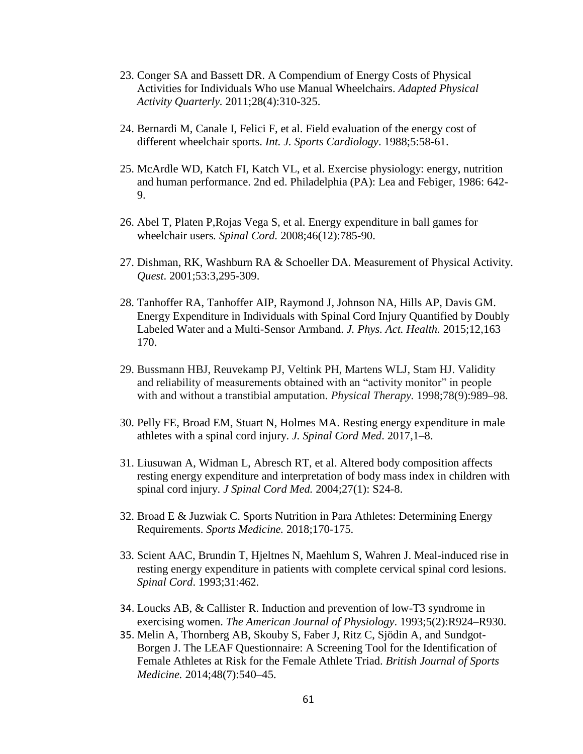- 23. Conger SA and Bassett DR. A Compendium of Energy Costs of Physical Activities for Individuals Who use Manual Wheelchairs. *Adapted Physical Activity Quarterly.* 2011;28(4):310-325.
- 24. Bernardi M, Canale I, Felici F, et al. Field evaluation of the energy cost of different wheelchair sports. *Int. J. Sports Cardiology*. 1988;5:58-61.
- 25. McArdle WD, Katch FI, Katch VL, et al. Exercise physiology: energy, nutrition and human performance. 2nd ed. Philadelphia (PA): Lea and Febiger, 1986: 642- 9.
- 26. Abel T, Platen P,Rojas Vega S, et al. Energy expenditure in ball games for wheelchair users*. Spinal Cord.* 2008;46(12):785-90.
- 27. Dishman, RK, Washburn RA & Schoeller DA. Measurement of Physical Activity. *Quest*. 2001;53:3,295-309.
- 28. Tanhoffer RA, Tanhoffer AIP, Raymond J, Johnson NA, Hills AP, Davis GM. Energy Expenditure in Individuals with Spinal Cord Injury Quantified by Doubly Labeled Water and a Multi-Sensor Armband. *J. Phys. Act. Health.* 2015;12,163– 170.
- 29. Bussmann HBJ, Reuvekamp PJ, Veltink PH, Martens WLJ, Stam HJ. Validity and reliability of measurements obtained with an "activity monitor" in people with and without a transtibial amputation. *Physical Therapy.* 1998;78(9):989–98.
- 30. Pelly FE, Broad EM, Stuart N, Holmes MA. Resting energy expenditure in male athletes with a spinal cord injury. *J. Spinal Cord Med*. 2017,1–8.
- 31. Liusuwan A, Widman L, Abresch RT, et al. Altered body composition affects resting energy expenditure and interpretation of body mass index in children with spinal cord injury. *J Spinal Cord Med.* 2004;27(1): S24-8.
- 32. Broad E & Juzwiak C. Sports Nutrition in Para Athletes: Determining Energy Requirements. *Sports Medicine.* 2018;170-175.
- 33. Scient AAC, Brundin T, Hjeltnes N, Maehlum S, Wahren J. Meal-induced rise in resting energy expenditure in patients with complete cervical spinal cord lesions. *Spinal Cord*. 1993;31:462.
- 34. Loucks AB, & Callister R. Induction and prevention of low-T3 syndrome in exercising women. *The American Journal of Physiology*. 1993;5(2):R924–R930.
- 35. Melin A, Thornberg AB, Skouby S, Faber J, Ritz C, Sjödin A, and Sundgot-Borgen J. The LEAF Questionnaire: A Screening Tool for the Identification of Female Athletes at Risk for the Female Athlete Triad. *British Journal of Sports Medicine.* 2014;48(7):540–45.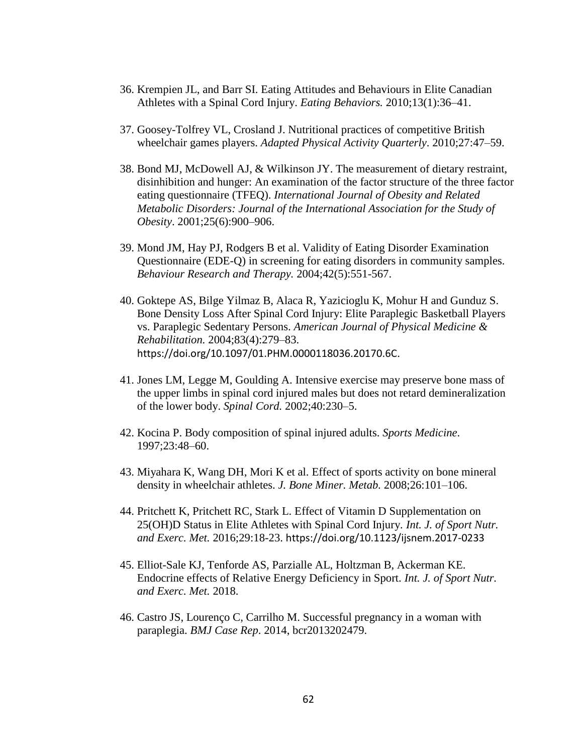- 36. Krempien JL, and Barr SI. Eating Attitudes and Behaviours in Elite Canadian Athletes with a Spinal Cord Injury. *Eating Behaviors.* 2010;13(1):36–41.
- 37. Goosey-Tolfrey VL, Crosland J. Nutritional practices of competitive British wheelchair games players. *Adapted Physical Activity Quarterly*. 2010;27:47–59.
- 38. Bond MJ, McDowell AJ, & Wilkinson JY. The measurement of dietary restraint, disinhibition and hunger: An examination of the factor structure of the three factor eating questionnaire (TFEQ). *International Journal of Obesity and Related Metabolic Disorders: Journal of the International Association for the Study of Obesity*. 2001;25(6):900–906.
- 39. Mond JM, Hay PJ, Rodgers B et al. Validity of Eating Disorder Examination Questionnaire (EDE-Q) in screening for eating disorders in community samples. *Behaviour Research and Therapy.* 2004;42(5):551-567.
- 40. Goktepe AS, Bilge Yilmaz B, Alaca R, Yazicioglu K, Mohur H and Gunduz S. Bone Density Loss After Spinal Cord Injury: Elite Paraplegic Basketball Players vs. Paraplegic Sedentary Persons. *American Journal of Physical Medicine & Rehabilitation.* 2004;83(4):279–83. https://doi.org/10.1097/01.PHM.0000118036.20170.6C.
- 41. Jones LM, Legge M, Goulding A. Intensive exercise may preserve bone mass of the upper limbs in spinal cord injured males but does not retard demineralization of the lower body. *Spinal Cord.* 2002;40:230–5.
- 42. Kocina P. Body composition of spinal injured adults. *Sports Medicine*. 1997;23:48–60.
- 43. Miyahara K, Wang DH, Mori K et al. Effect of sports activity on bone mineral density in wheelchair athletes. *J. Bone Miner. Metab.* 2008;26:101–106.
- 44. Pritchett K, Pritchett RC, Stark L. Effect of Vitamin D Supplementation on 25(OH)D Status in Elite Athletes with Spinal Cord Injury. *Int. J. of Sport Nutr. and Exerc. Met.* 2016;29:18-23. https://doi.org/10.1123/ijsnem.2017-0233
- 45. Elliot-Sale KJ, Tenforde AS, Parzialle AL, Holtzman B, Ackerman KE. Endocrine effects of Relative Energy Deficiency in Sport. *Int. J. of Sport Nutr. and Exerc. Met.* 2018.
- 46. Castro JS, Lourenço C, Carrilho M. Successful pregnancy in a woman with paraplegia. *BMJ Case Rep*. 2014, bcr2013202479.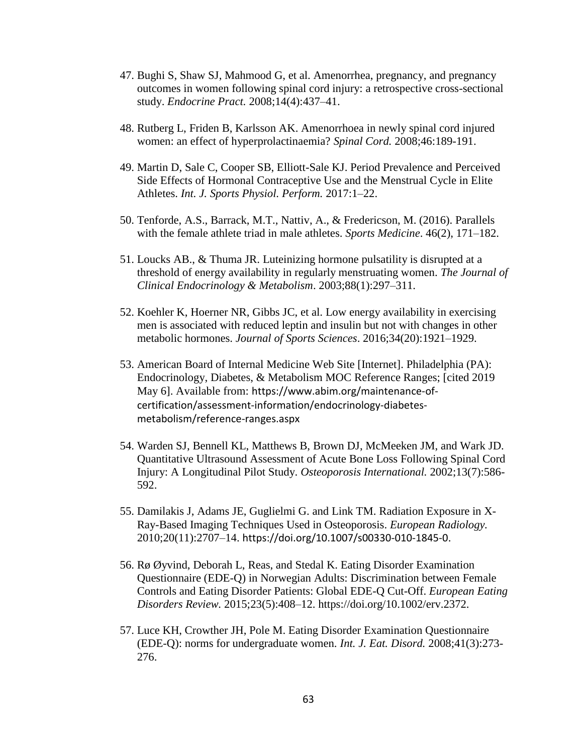- 47. Bughi S, Shaw SJ, Mahmood G, et al. Amenorrhea, pregnancy, and pregnancy outcomes in women following spinal cord injury: a retrospective cross-sectional study. *Endocrine Pract.* 2008;14(4):437–41.
- 48. Rutberg L, Friden B, Karlsson AK. Amenorrhoea in newly spinal cord injured women: an effect of hyperprolactinaemia? *Spinal Cord.* 2008;46:189-191.
- 49. Martin D, Sale C, Cooper SB, Elliott-Sale KJ. Period Prevalence and Perceived Side Effects of Hormonal Contraceptive Use and the Menstrual Cycle in Elite Athletes. *Int. J. Sports Physiol. Perform.* 2017:1–22.
- 50. Tenforde, A.S., Barrack, M.T., Nattiv, A., & Fredericson, M. (2016). Parallels with the female athlete triad in male athletes. *Sports Medicine*. 46(2), 171–182.
- 51. Loucks AB., & Thuma JR. Luteinizing hormone pulsatility is disrupted at a threshold of energy availability in regularly menstruating women. *The Journal of Clinical Endocrinology & Metabolism*. 2003;88(1):297–311.
- 52. Koehler K, Hoerner NR, Gibbs JC, et al. Low energy availability in exercising men is associated with reduced leptin and insulin but not with changes in other metabolic hormones. *Journal of Sports Sciences*. 2016;34(20):1921–1929.
- 53. American Board of Internal Medicine Web Site [Internet]. Philadelphia (PA): Endocrinology, Diabetes, & Metabolism MOC Reference Ranges; [cited 2019 May 6]. Available from: https://www.abim.org/maintenance-ofcertification/assessment-information/endocrinology-diabetesmetabolism/reference-ranges.aspx
- 54. Warden SJ, Bennell KL, Matthews B, Brown DJ, McMeeken JM, and Wark JD. Quantitative Ultrasound Assessment of Acute Bone Loss Following Spinal Cord Injury: A Longitudinal Pilot Study. *Osteoporosis International.* 2002;13(7):586- 592.
- 55. Damilakis J, Adams JE, Guglielmi G. and Link TM. Radiation Exposure in X-Ray-Based Imaging Techniques Used in Osteoporosis. *European Radiology.* 2010;20(11):2707–14. https://doi.org/10.1007/s00330-010-1845-0.
- 56. Rø Øyvind, Deborah L, Reas, and Stedal K. Eating Disorder Examination Questionnaire (EDE-Q) in Norwegian Adults: Discrimination between Female Controls and Eating Disorder Patients: Global EDE-Q Cut-Off. *European Eating Disorders Review.* 2015;23(5):408–12. https://doi.org/10.1002/erv.2372.
- 57. Luce KH, Crowther JH, Pole M. Eating Disorder Examination Questionnaire (EDE-Q): norms for undergraduate women. *Int. J. Eat. Disord.* 2008;41(3):273- 276.